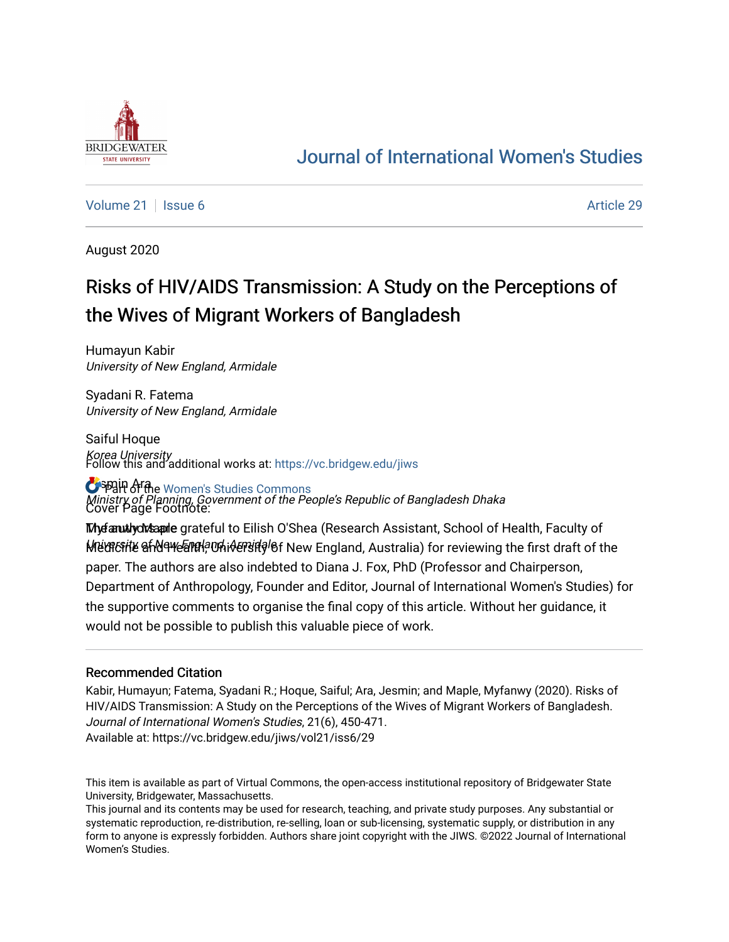

# [Journal of International Women's Studies](https://vc.bridgew.edu/jiws)

[Volume 21](https://vc.bridgew.edu/jiws/vol21) | [Issue 6](https://vc.bridgew.edu/jiws/vol21/iss6) Article 29

August 2020

# Risks of HIV/AIDS Transmission: A Study on the Perceptions of the Wives of Migrant Workers of Bangladesh

Humayun Kabir University of New England, Armidale

Syadani R. Fatema University of New England, Armidale

Saiful Hoque Korea University Follow this and additional works at: [https://vc.bridgew.edu/jiws](https://vc.bridgew.edu/jiws?utm_source=vc.bridgew.edu%2Fjiws%2Fvol21%2Fiss6%2F29&utm_medium=PDF&utm_campaign=PDFCoverPages)

**O**SPAIN Arthe Women's Studies Commons Ministry of Planning, Government of the People's Republic of Bangladesh Dhaka Cover Page Footnote:

**Thyfanutlych⁄sapile** grateful to Eilish O'Shea (Research Assistant, School of Health, Faculty of k/het&forthetare and Health, Whindery and Health Mealth Australia) for reviewing the first draft of the paper. The authors are also indebted to Diana J. Fox, PhD (Professor and Chairperson, Department of Anthropology, Founder and Editor, Journal of International Women's Studies) for the supportive comments to organise the final copy of this article. Without her guidance, it would not be possible to publish this valuable piece of work.

#### Recommended Citation

Kabir, Humayun; Fatema, Syadani R.; Hoque, Saiful; Ara, Jesmin; and Maple, Myfanwy (2020). Risks of HIV/AIDS Transmission: A Study on the Perceptions of the Wives of Migrant Workers of Bangladesh. Journal of International Women's Studies, 21(6), 450-471. Available at: https://vc.bridgew.edu/jiws/vol21/iss6/29

This item is available as part of Virtual Commons, the open-access institutional repository of Bridgewater State University, Bridgewater, Massachusetts.

This journal and its contents may be used for research, teaching, and private study purposes. Any substantial or systematic reproduction, re-distribution, re-selling, loan or sub-licensing, systematic supply, or distribution in any form to anyone is expressly forbidden. Authors share joint copyright with the JIWS. ©2022 Journal of International Women's Studies.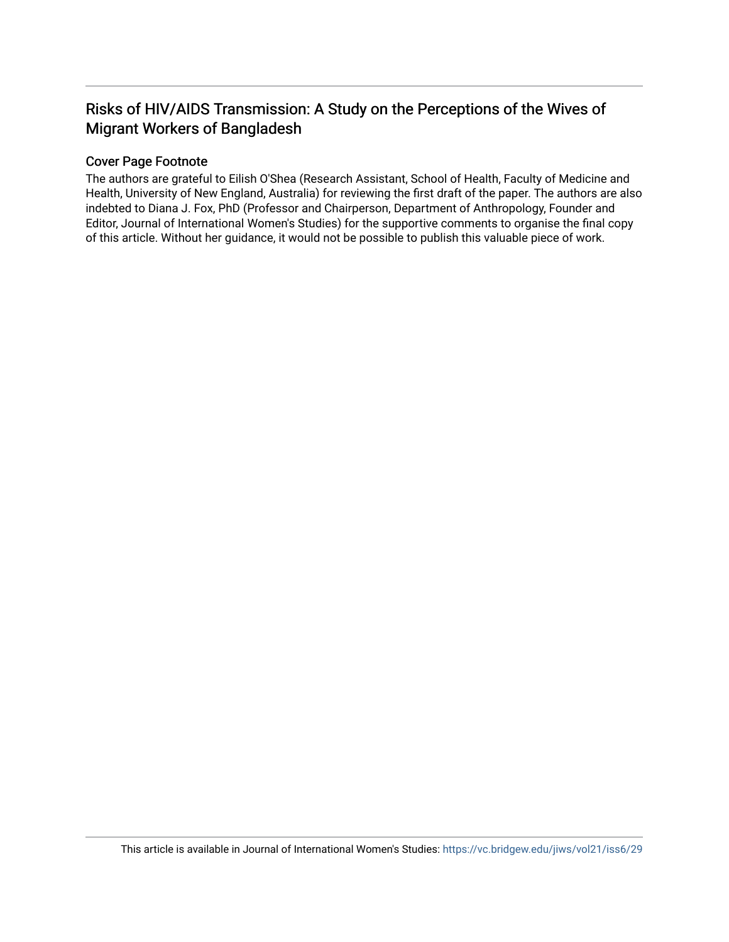# Risks of HIV/AIDS Transmission: A Study on the Perceptions of the Wives of Migrant Workers of Bangladesh

#### Cover Page Footnote

The authors are grateful to Eilish O'Shea (Research Assistant, School of Health, Faculty of Medicine and Health, University of New England, Australia) for reviewing the first draft of the paper. The authors are also indebted to Diana J. Fox, PhD (Professor and Chairperson, Department of Anthropology, Founder and Editor, Journal of International Women's Studies) for the supportive comments to organise the final copy of this article. Without her guidance, it would not be possible to publish this valuable piece of work.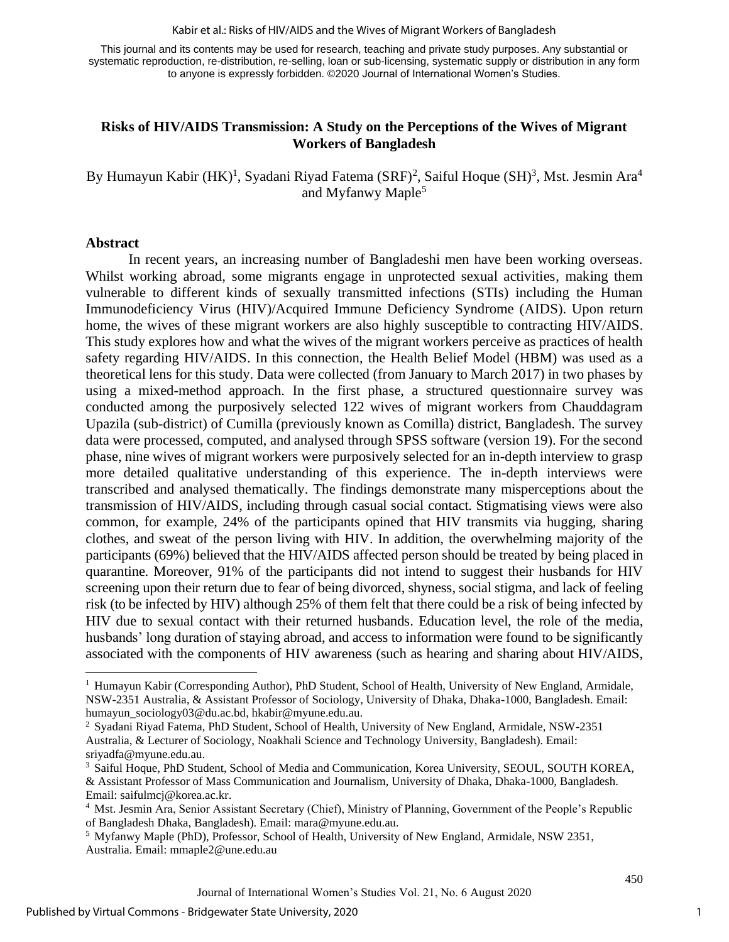Kabir et al.: Risks of HIV/AIDS and the Wives of Migrant Workers of Bangladesh

This journal and its contents may be used for research, teaching and private study purposes. Any substantial or systematic reproduction, re-distribution, re-selling, loan or sub-licensing, systematic supply or distribution in any form to anyone is expressly forbidden. ©2020 Journal of International Women's Studies.

#### **Risks of HIV/AIDS Transmission: A Study on the Perceptions of the Wives of Migrant Workers of Bangladesh**

By Humayun Kabir (HK)<sup>1</sup>, Syadani Riyad Fatema (SRF)<sup>2</sup>, Saiful Hoque (SH)<sup>3</sup>, Mst. Jesmin Ara<sup>4</sup> and Myfanwy Maple<sup>5</sup>

#### **Abstract**

In recent years, an increasing number of Bangladeshi men have been working overseas. Whilst working abroad, some migrants engage in unprotected sexual activities, making them vulnerable to different kinds of sexually transmitted infections (STIs) including the Human Immunodeficiency Virus (HIV)/Acquired Immune Deficiency Syndrome (AIDS). Upon return home, the wives of these migrant workers are also highly susceptible to contracting HIV/AIDS. This study explores how and what the wives of the migrant workers perceive as practices of health safety regarding HIV/AIDS. In this connection, the Health Belief Model (HBM) was used as a theoretical lens for this study. Data were collected (from January to March 2017) in two phases by using a mixed-method approach. In the first phase, a structured questionnaire survey was conducted among the purposively selected 122 wives of migrant workers from Chauddagram Upazila (sub-district) of Cumilla (previously known as Comilla) district, Bangladesh. The survey data were processed, computed, and analysed through SPSS software (version 19). For the second phase, nine wives of migrant workers were purposively selected for an in-depth interview to grasp more detailed qualitative understanding of this experience. The in-depth interviews were transcribed and analysed thematically. The findings demonstrate many misperceptions about the transmission of HIV/AIDS, including through casual social contact. Stigmatising views were also common, for example, 24% of the participants opined that HIV transmits via hugging, sharing clothes, and sweat of the person living with HIV. In addition, the overwhelming majority of the participants (69%) believed that the HIV/AIDS affected person should be treated by being placed in quarantine. Moreover, 91% of the participants did not intend to suggest their husbands for HIV screening upon their return due to fear of being divorced, shyness, social stigma, and lack of feeling risk (to be infected by HIV) although 25% of them felt that there could be a risk of being infected by HIV due to sexual contact with their returned husbands. Education level, the role of the media, husbands' long duration of staying abroad, and access to information were found to be significantly associated with the components of HIV awareness (such as hearing and sharing about HIV/AIDS,

<sup>1</sup> Humayun Kabir (Corresponding Author), PhD Student, School of Health, University of New England, Armidale, NSW-2351 Australia, & Assistant Professor of Sociology, University of Dhaka, Dhaka-1000, Bangladesh. Email: [humayun\\_sociology03@du.ac.bd,](mailto:humayun_sociology03@du.ac.bd) [hkabir@myune.edu.au.](mailto:hkabir@myune.edu.au)

<sup>2</sup> Syadani Riyad Fatema, PhD Student, School of Health, University of New England, Armidale, NSW-2351 Australia, & Lecturer of Sociology, Noakhali Science and Technology University, Bangladesh). Email: [sriyadfa@myune.edu.au.](mailto:sriyadfa@myune.edu.au)

<sup>&</sup>lt;sup>3</sup> Saiful Hoque, PhD Student, School of Media and Communication, Korea University, SEOUL, SOUTH KOREA, & Assistant Professor of Mass Communication and Journalism, University of Dhaka, Dhaka-1000, Bangladesh. Email: [saifulmcj@korea.ac.kr.](mailto:saifulmcj@korea.ac.kr)

<sup>&</sup>lt;sup>4</sup> Mst. Jesmin Ara, Senior Assistant Secretary (Chief), Ministry of Planning, Government of the People's Republic of Bangladesh Dhaka, Bangladesh). Email: [mara@myune.edu.au.](mailto:mara@myune.edu.au)

<sup>5</sup> Myfanwy Maple (PhD), Professor, School of Health, University of New England, Armidale, NSW 2351, Australia. Email: [mmaple2@une.edu.au](mailto:mmaple2@une.edu.au)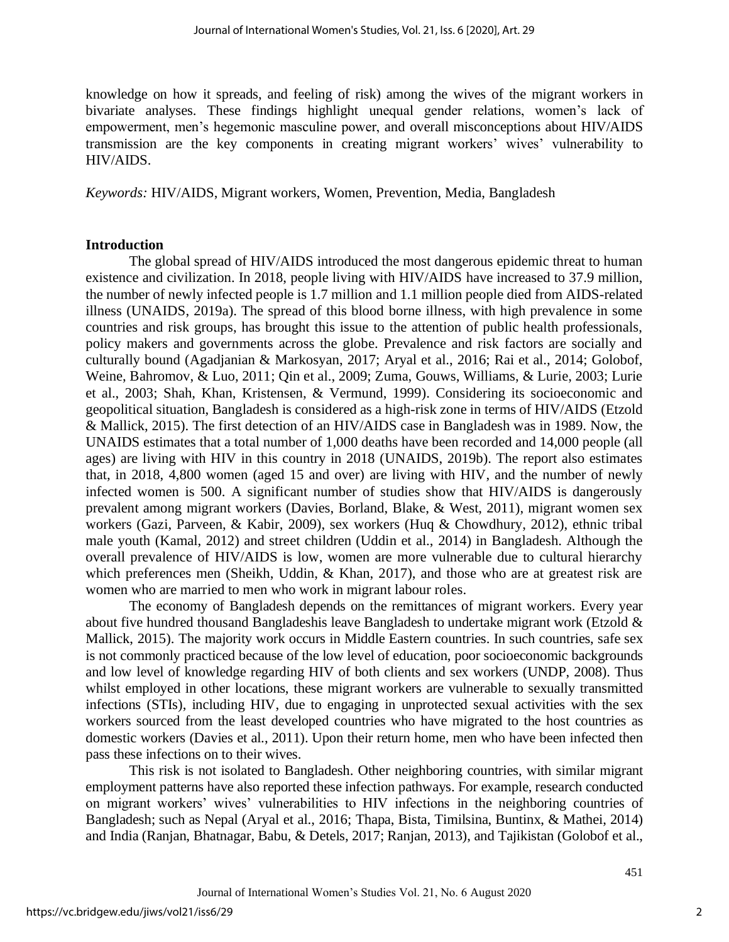knowledge on how it spreads, and feeling of risk) among the wives of the migrant workers in bivariate analyses. These findings highlight unequal gender relations, women's lack of empowerment, men's hegemonic masculine power, and overall misconceptions about HIV/AIDS transmission are the key components in creating migrant workers' wives' vulnerability to HIV/AIDS.

*Keywords:* HIV/AIDS, Migrant workers, Women, Prevention, Media, Bangladesh

# **Introduction**

The global spread of HIV/AIDS introduced the most dangerous epidemic threat to human existence and civilization. In 2018, people living with HIV/AIDS have increased to 37.9 million, the number of newly infected people is 1.7 million and 1.1 million people died from AIDS-related illness (UNAIDS, 2019a). The spread of this blood borne illness, with high prevalence in some countries and risk groups, has brought this issue to the attention of public health professionals, policy makers and governments across the globe. Prevalence and risk factors are socially and culturally bound (Agadjanian & Markosyan, 2017; Aryal et al., 2016; Rai et al., 2014; Golobof, Weine, Bahromov, & Luo, 2011; Qin et al., 2009; Zuma, Gouws, Williams, & Lurie, 2003; Lurie et al., 2003; Shah, Khan, Kristensen, & Vermund, 1999). Considering its socioeconomic and geopolitical situation, Bangladesh is considered as a high-risk zone in terms of HIV/AIDS (Etzold & Mallick, 2015). The first detection of an HIV/AIDS case in Bangladesh was in 1989. Now, the UNAIDS estimates that a total number of 1,000 deaths have been recorded and 14,000 people (all ages) are living with HIV in this country in 2018 (UNAIDS, 2019b). The report also estimates that, in 2018, 4,800 women (aged 15 and over) are living with HIV, and the number of newly infected women is 500. A significant number of studies show that HIV/AIDS is dangerously prevalent among migrant workers (Davies, Borland, Blake, & West, 2011), migrant women sex workers (Gazi, Parveen, & Kabir, 2009), sex workers (Huq & Chowdhury, 2012), ethnic tribal male youth (Kamal, 2012) and street children (Uddin et al., 2014) in Bangladesh. Although the overall prevalence of HIV/AIDS is low, women are more vulnerable due to cultural hierarchy which preferences men (Sheikh, Uddin, & Khan, 2017), and those who are at greatest risk are women who are married to men who work in migrant labour roles.

The economy of Bangladesh depends on the remittances of migrant workers. Every year about five hundred thousand Bangladeshis leave Bangladesh to undertake migrant work (Etzold & Mallick, 2015). The majority work occurs in Middle Eastern countries. In such countries, safe sex is not commonly practiced because of the low level of education, poor socioeconomic backgrounds and low level of knowledge regarding HIV of both clients and sex workers (UNDP, 2008). Thus whilst employed in other locations, these migrant workers are vulnerable to sexually transmitted infections (STIs), including HIV, due to engaging in unprotected sexual activities with the sex workers sourced from the least developed countries who have migrated to the host countries as domestic workers (Davies et al., 2011). Upon their return home, men who have been infected then pass these infections on to their wives.

This risk is not isolated to Bangladesh. Other neighboring countries, with similar migrant employment patterns have also reported these infection pathways. For example, research conducted on migrant workers' wives' vulnerabilities to HIV infections in the neighboring countries of Bangladesh; such as Nepal (Aryal et al., 2016; Thapa, Bista, Timilsina, Buntinx, & Mathei, 2014) and India (Ranjan, Bhatnagar, Babu, & Detels, 2017; Ranjan, 2013), and Tajikistan (Golobof et al.,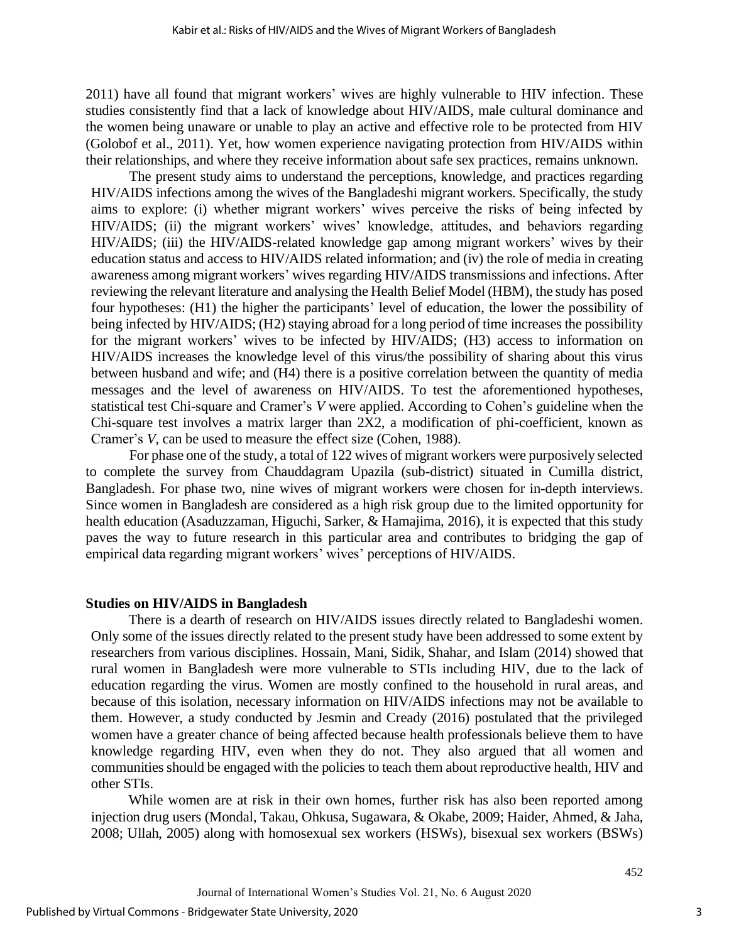2011) have all found that migrant workers' wives are highly vulnerable to HIV infection. These studies consistently find that a lack of knowledge about HIV/AIDS, male cultural dominance and the women being unaware or unable to play an active and effective role to be protected from HIV (Golobof et al., 2011). Yet, how women experience navigating protection from HIV/AIDS within their relationships, and where they receive information about safe sex practices, remains unknown.

The present study aims to understand the perceptions, knowledge, and practices regarding HIV/AIDS infections among the wives of the Bangladeshi migrant workers. Specifically, the study aims to explore: (i) whether migrant workers' wives perceive the risks of being infected by HIV/AIDS; (ii) the migrant workers' wives' knowledge, attitudes, and behaviors regarding HIV/AIDS; (iii) the HIV/AIDS-related knowledge gap among migrant workers' wives by their education status and access to HIV/AIDS related information; and (iv) the role of media in creating awareness among migrant workers' wives regarding HIV/AIDS transmissions and infections. After reviewing the relevant literature and analysing the Health Belief Model (HBM), the study has posed four hypotheses: (H1) the higher the participants' level of education, the lower the possibility of being infected by HIV/AIDS; (H2) staying abroad for a long period of time increases the possibility for the migrant workers' wives to be infected by HIV/AIDS; (H3) access to information on HIV/AIDS increases the knowledge level of this virus/the possibility of sharing about this virus between husband and wife; and (H4) there is a positive correlation between the quantity of media messages and the level of awareness on HIV/AIDS. To test the aforementioned hypotheses, statistical test Chi-square and Cramer's *V* were applied. According to Cohen's guideline when the Chi-square test involves a matrix larger than 2X2, a modification of phi-coefficient, known as Cramer's *V*, can be used to measure the effect size (Cohen, 1988).

For phase one of the study, a total of 122 wives of migrant workers were purposively selected to complete the survey from Chauddagram Upazila (sub-district) situated in Cumilla district, Bangladesh. For phase two, nine wives of migrant workers were chosen for in-depth interviews. Since women in Bangladesh are considered as a high risk group due to the limited opportunity for health education (Asaduzzaman, Higuchi, Sarker, & Hamajima, 2016), it is expected that this study paves the way to future research in this particular area and contributes to bridging the gap of empirical data regarding migrant workers' wives' perceptions of HIV/AIDS.

#### **Studies on HIV/AIDS in Bangladesh**

There is a dearth of research on HIV/AIDS issues directly related to Bangladeshi women. Only some of the issues directly related to the present study have been addressed to some extent by researchers from various disciplines. Hossain, Mani, Sidik, Shahar, and Islam (2014) showed that rural women in Bangladesh were more vulnerable to STIs including HIV, due to the lack of education regarding the virus. Women are mostly confined to the household in rural areas, and because of this isolation, necessary information on HIV/AIDS infections may not be available to them. However, a study conducted by Jesmin and Cready (2016) postulated that the privileged women have a greater chance of being affected because health professionals believe them to have knowledge regarding HIV, even when they do not. They also argued that all women and communities should be engaged with the policies to teach them about reproductive health, HIV and other STIs.

While women are at risk in their own homes, further risk has also been reported among injection drug users (Mondal, Takau, Ohkusa, Sugawara, & Okabe, 2009; Haider, Ahmed, & Jaha, 2008; Ullah, 2005) along with homosexual sex workers (HSWs), bisexual sex workers (BSWs)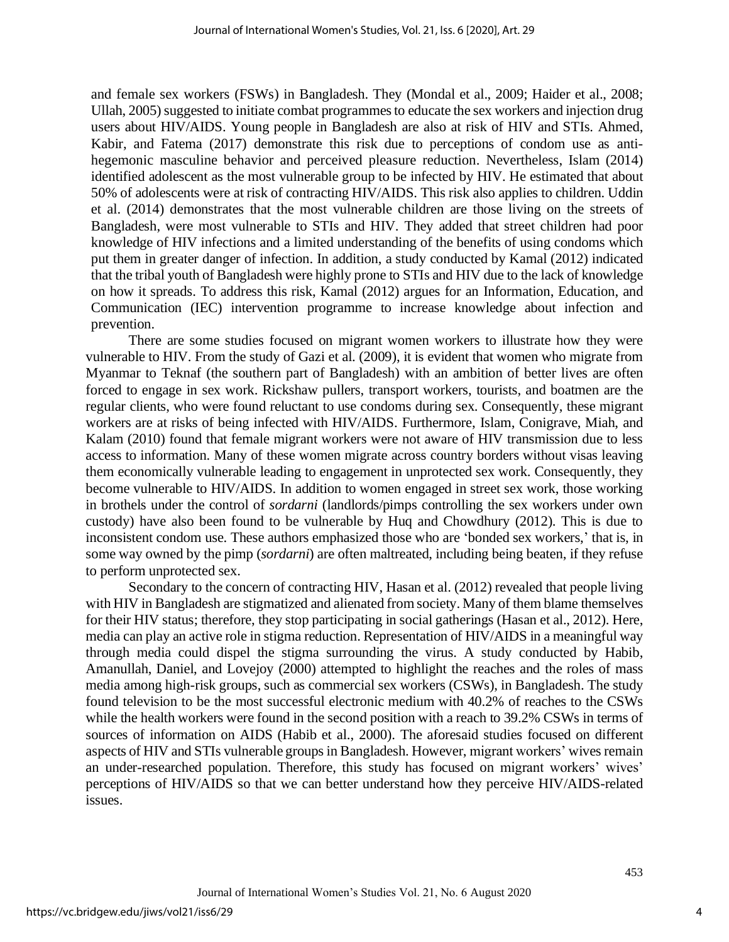and female sex workers (FSWs) in Bangladesh. They (Mondal et al., 2009; Haider et al., 2008; Ullah, 2005) suggested to initiate combat programmes to educate the sex workers and injection drug users about HIV/AIDS. Young people in Bangladesh are also at risk of HIV and STIs. Ahmed, Kabir, and Fatema (2017) demonstrate this risk due to perceptions of condom use as antihegemonic masculine behavior and perceived pleasure reduction. Nevertheless, Islam (2014) identified adolescent as the most vulnerable group to be infected by HIV. He estimated that about 50% of adolescents were at risk of contracting HIV/AIDS. This risk also applies to children. Uddin et al. (2014) demonstrates that the most vulnerable children are those living on the streets of Bangladesh, were most vulnerable to STIs and HIV. They added that street children had poor knowledge of HIV infections and a limited understanding of the benefits of using condoms which put them in greater danger of infection. In addition, a study conducted by Kamal (2012) indicated that the tribal youth of Bangladesh were highly prone to STIs and HIV due to the lack of knowledge on how it spreads. To address this risk, Kamal (2012) argues for an Information, Education, and Communication (IEC) intervention programme to increase knowledge about infection and prevention.

There are some studies focused on migrant women workers to illustrate how they were vulnerable to HIV. From the study of Gazi et al. (2009), it is evident that women who migrate from Myanmar to Teknaf (the southern part of Bangladesh) with an ambition of better lives are often forced to engage in sex work. Rickshaw pullers, transport workers, tourists, and boatmen are the regular clients, who were found reluctant to use condoms during sex. Consequently, these migrant workers are at risks of being infected with HIV/AIDS. Furthermore, Islam, Conigrave, Miah, and Kalam (2010) found that female migrant workers were not aware of HIV transmission due to less access to information. Many of these women migrate across country borders without visas leaving them economically vulnerable leading to engagement in unprotected sex work. Consequently, they become vulnerable to HIV/AIDS. In addition to women engaged in street sex work, those working in brothels under the control of *sordarni* (landlords/pimps controlling the sex workers under own custody) have also been found to be vulnerable by Huq and Chowdhury (2012). This is due to inconsistent condom use. These authors emphasized those who are 'bonded sex workers,' that is, in some way owned by the pimp (*sordarni*) are often maltreated, including being beaten, if they refuse to perform unprotected sex.

Secondary to the concern of contracting HIV, Hasan et al. (2012) revealed that people living with HIV in Bangladesh are stigmatized and alienated from society. Many of them blame themselves for their HIV status; therefore, they stop participating in social gatherings (Hasan et al., 2012). Here, media can play an active role in stigma reduction. Representation of HIV/AIDS in a meaningful way through media could dispel the stigma surrounding the virus. A study conducted by Habib, Amanullah, Daniel, and Lovejoy (2000) attempted to highlight the reaches and the roles of mass media among high-risk groups, such as commercial sex workers (CSWs), in Bangladesh. The study found television to be the most successful electronic medium with 40.2% of reaches to the CSWs while the health workers were found in the second position with a reach to 39.2% CSWs in terms of sources of information on AIDS (Habib et al., 2000). The aforesaid studies focused on different aspects of HIV and STIs vulnerable groups in Bangladesh. However, migrant workers' wives remain an under-researched population. Therefore, this study has focused on migrant workers' wives' perceptions of HIV/AIDS so that we can better understand how they perceive HIV/AIDS-related issues.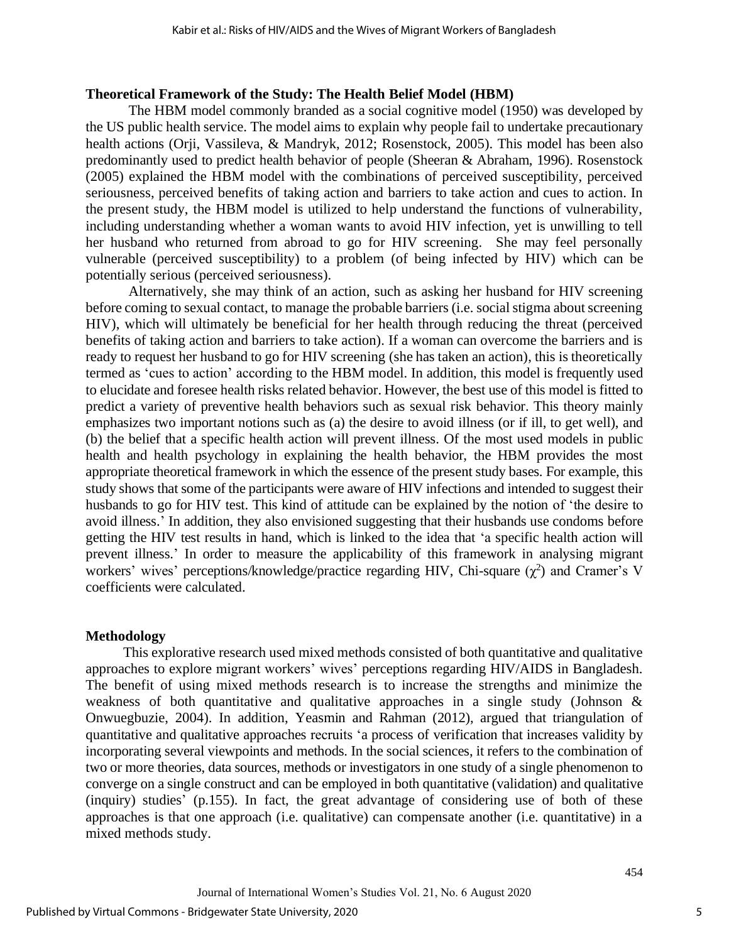#### **Theoretical Framework of the Study: The Health Belief Model (HBM)**

The HBM model commonly branded as a social cognitive model (1950) was developed by the US public health service. The model aims to explain why people fail to undertake precautionary health actions (Orji, Vassileva, & Mandryk, 2012; Rosenstock, 2005). This model has been also predominantly used to predict health behavior of people (Sheeran & Abraham, 1996). Rosenstock (2005) explained the HBM model with the combinations of perceived susceptibility, perceived seriousness, perceived benefits of taking action and barriers to take action and cues to action. In the present study, the HBM model is utilized to help understand the functions of vulnerability, including understanding whether a woman wants to avoid HIV infection, yet is unwilling to tell her husband who returned from abroad to go for HIV screening. She may feel personally vulnerable (perceived susceptibility) to a problem (of being infected by HIV) which can be potentially serious (perceived seriousness).

Alternatively, she may think of an action, such as asking her husband for HIV screening before coming to sexual contact, to manage the probable barriers (i.e. social stigma about screening HIV), which will ultimately be beneficial for her health through reducing the threat (perceived benefits of taking action and barriers to take action). If a woman can overcome the barriers and is ready to request her husband to go for HIV screening (she has taken an action), this is theoretically termed as 'cues to action' according to the HBM model. In addition, this model is frequently used to elucidate and foresee health risks related behavior. However, the best use of this model is fitted to predict a variety of preventive health behaviors such as sexual risk behavior. This theory mainly emphasizes two important notions such as (a) the desire to avoid illness (or if ill, to get well), and (b) the belief that a specific health action will prevent illness. Of the most used models in public health and health psychology in explaining the health behavior, the HBM provides the most appropriate theoretical framework in which the essence of the present study bases. For example, this study shows that some of the participants were aware of HIV infections and intended to suggest their husbands to go for HIV test. This kind of attitude can be explained by the notion of 'the desire to avoid illness.' In addition, they also envisioned suggesting that their husbands use condoms before getting the HIV test results in hand, which is linked to the idea that 'a specific health action will prevent illness.' In order to measure the applicability of this framework in analysing migrant workers' wives' perceptions/knowledge/practice regarding HIV, Chi-square  $(\chi^2)$  and Cramer's V coefficients were calculated.

#### **Methodology**

This explorative research used mixed methods consisted of both quantitative and qualitative approaches to explore migrant workers' wives' perceptions regarding HIV/AIDS in Bangladesh. The benefit of using mixed methods research is to increase the strengths and minimize the weakness of both quantitative and qualitative approaches in a single study (Johnson & Onwuegbuzie, 2004). In addition, Yeasmin and Rahman (2012), argued that triangulation of quantitative and qualitative approaches recruits 'a process of verification that increases validity by incorporating several viewpoints and methods. In the social sciences, it refers to the combination of two or more theories, data sources, methods or investigators in one study of a single phenomenon to converge on a single construct and can be employed in both quantitative (validation) and qualitative (inquiry) studies' (p.155). In fact, the great advantage of considering use of both of these approaches is that one approach (i.e. qualitative) can compensate another (i.e. quantitative) in a mixed methods study.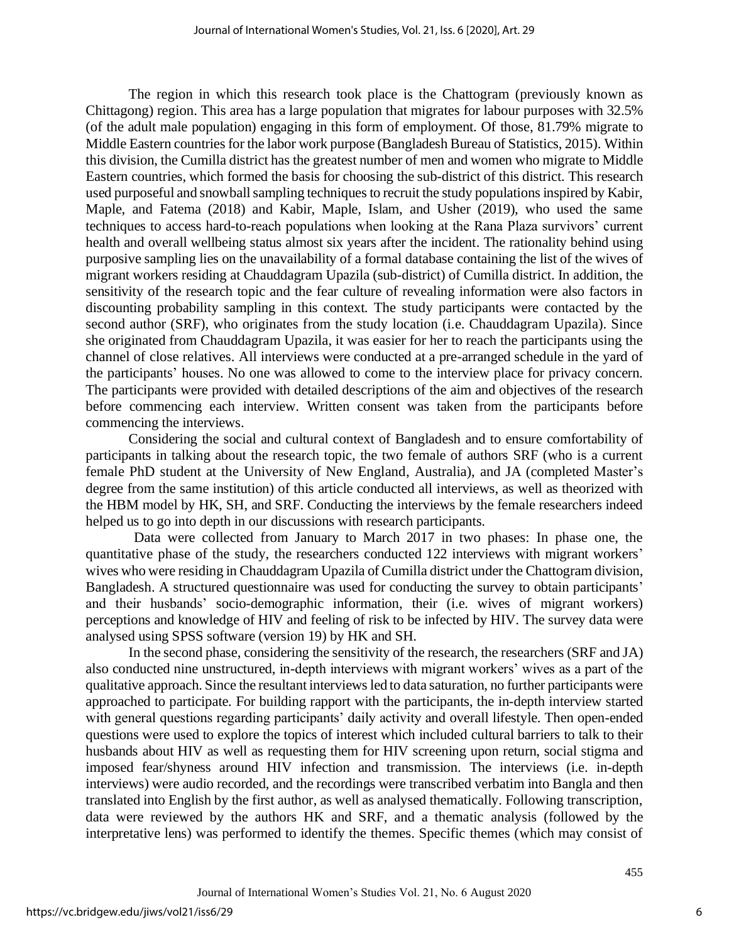The region in which this research took place is the Chattogram (previously known as Chittagong) region. This area has a large population that migrates for labour purposes with 32.5% (of the adult male population) engaging in this form of employment. Of those, 81.79% migrate to Middle Eastern countries for the labor work purpose (Bangladesh Bureau of Statistics, 2015). Within this division, the Cumilla district has the greatest number of men and women who migrate to Middle Eastern countries, which formed the basis for choosing the sub-district of this district. This research used purposeful and snowball sampling techniques to recruit the study populations inspired by Kabir, Maple, and Fatema (2018) and Kabir, Maple, Islam, and Usher (2019), who used the same techniques to access hard-to-reach populations when looking at the Rana Plaza survivors' current health and overall wellbeing status almost six years after the incident. The rationality behind using purposive sampling lies on the unavailability of a formal database containing the list of the wives of migrant workers residing at Chauddagram Upazila (sub-district) of Cumilla district. In addition, the sensitivity of the research topic and the fear culture of revealing information were also factors in discounting probability sampling in this context. The study participants were contacted by the second author (SRF), who originates from the study location (i.e. Chauddagram Upazila). Since she originated from Chauddagram Upazila, it was easier for her to reach the participants using the channel of close relatives. All interviews were conducted at a pre-arranged schedule in the yard of the participants' houses. No one was allowed to come to the interview place for privacy concern. The participants were provided with detailed descriptions of the aim and objectives of the research before commencing each interview. Written consent was taken from the participants before commencing the interviews.

Considering the social and cultural context of Bangladesh and to ensure comfortability of participants in talking about the research topic, the two female of authors SRF (who is a current female PhD student at the University of New England, Australia), and JA (completed Master's degree from the same institution) of this article conducted all interviews, as well as theorized with the HBM model by HK, SH, and SRF. Conducting the interviews by the female researchers indeed helped us to go into depth in our discussions with research participants.

Data were collected from January to March 2017 in two phases: In phase one, the quantitative phase of the study, the researchers conducted 122 interviews with migrant workers' wives who were residing in Chauddagram Upazila of Cumilla district under the Chattogram division, Bangladesh. A structured questionnaire was used for conducting the survey to obtain participants' and their husbands' socio-demographic information, their (i.e. wives of migrant workers) perceptions and knowledge of HIV and feeling of risk to be infected by HIV. The survey data were analysed using SPSS software (version 19) by HK and SH.

In the second phase, considering the sensitivity of the research, the researchers (SRF and JA) also conducted nine unstructured, in-depth interviews with migrant workers' wives as a part of the qualitative approach. Since the resultant interviews led to data saturation, no further participants were approached to participate. For building rapport with the participants, the in-depth interview started with general questions regarding participants' daily activity and overall lifestyle. Then open-ended questions were used to explore the topics of interest which included cultural barriers to talk to their husbands about HIV as well as requesting them for HIV screening upon return, social stigma and imposed fear/shyness around HIV infection and transmission. The interviews (i.e. in-depth interviews) were audio recorded, and the recordings were transcribed verbatim into Bangla and then translated into English by the first author, as well as analysed thematically. Following transcription, data were reviewed by the authors HK and SRF, and a thematic analysis (followed by the interpretative lens) was performed to identify the themes. Specific themes (which may consist of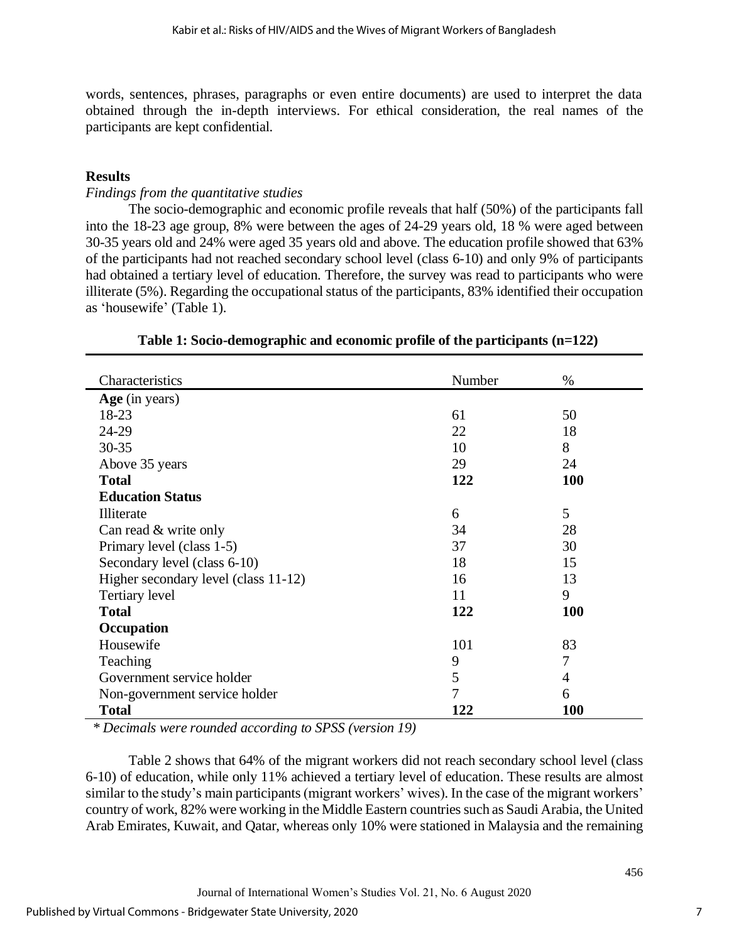words, sentences, phrases, paragraphs or even entire documents) are used to interpret the data obtained through the in-depth interviews. For ethical consideration, the real names of the participants are kept confidential.

# **Results**

#### *Findings from the quantitative studies*

The socio-demographic and economic profile reveals that half (50%) of the participants fall into the 18-23 age group, 8% were between the ages of 24-29 years old, 18 % were aged between 30-35 years old and 24% were aged 35 years old and above. The education profile showed that 63% of the participants had not reached secondary school level (class 6-10) and only 9% of participants had obtained a tertiary level of education. Therefore, the survey was read to participants who were illiterate (5%). Regarding the occupational status of the participants, 83% identified their occupation as 'housewife' (Table 1).

| Characteristics                      | Number | %          |
|--------------------------------------|--------|------------|
| Age (in years)                       |        |            |
| 18-23                                | 61     | 50         |
| 24-29                                | 22     | 18         |
| $30 - 35$                            | 10     | 8          |
| Above 35 years                       | 29     | 24         |
| <b>Total</b>                         | 122    | <b>100</b> |
| <b>Education Status</b>              |        |            |
| Illiterate                           | 6      | 5          |
| Can read & write only                | 34     | 28         |
| Primary level (class 1-5)            | 37     | 30         |
| Secondary level (class 6-10)         | 18     | 15         |
| Higher secondary level (class 11-12) | 16     | 13         |
| Tertiary level                       | 11     | 9          |
| <b>Total</b>                         | 122    | <b>100</b> |
| Occupation                           |        |            |
| Housewife                            | 101    | 83         |
| Teaching                             | 9      | 7          |
| Government service holder            | 5      | 4          |
| Non-government service holder        | 7      | 6          |
| <b>Total</b>                         | 122    | <b>100</b> |

#### **Table 1: Socio-demographic and economic profile of the participants (n=122)**

*\* Decimals were rounded according to SPSS (version 19)*

Table 2 shows that 64% of the migrant workers did not reach secondary school level (class 6-10) of education, while only 11% achieved a tertiary level of education. These results are almost similar to the study's main participants (migrant workers' wives). In the case of the migrant workers' country of work, 82% were working in the Middle Eastern countries such as Saudi Arabia, the United Arab Emirates, Kuwait, and Qatar, whereas only 10% were stationed in Malaysia and the remaining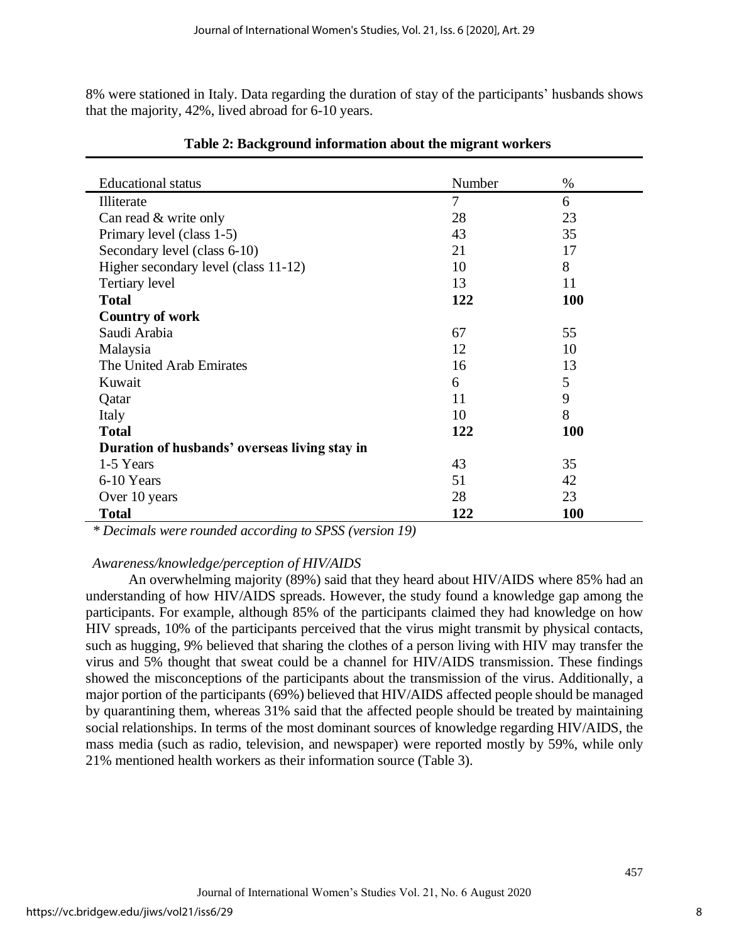8% were stationed in Italy. Data regarding the duration of stay of the participants' husbands shows that the majority, 42%, lived abroad for 6-10 years.

| <b>Educational</b> status                     | Number                   | $\%$       |
|-----------------------------------------------|--------------------------|------------|
| Illiterate                                    | $\overline{\mathcal{L}}$ | 6          |
| Can read & write only                         | 28                       | 23         |
| Primary level (class 1-5)                     | 43                       | 35         |
| Secondary level (class 6-10)                  | 21                       | 17         |
| Higher secondary level (class 11-12)          | 10                       | 8          |
| Tertiary level                                | 13                       | 11         |
| <b>Total</b>                                  | 122                      | <b>100</b> |
| <b>Country of work</b>                        |                          |            |
| Saudi Arabia                                  | 67                       | 55         |
| Malaysia                                      | 12                       | 10         |
| The United Arab Emirates                      | 16                       | 13         |
| Kuwait                                        | 6                        | 5          |
| Qatar                                         | 11                       | 9          |
| Italy                                         | 10                       | 8          |
| <b>Total</b>                                  | 122                      | <b>100</b> |
| Duration of husbands' overseas living stay in |                          |            |
| 1-5 Years                                     | 43                       | 35         |
| 6-10 Years                                    | 51                       | 42         |
| Over 10 years                                 | 28                       | 23         |
| <b>Total</b>                                  | 122                      | <b>100</b> |

**Table 2: Background information about the migrant workers**

*\* Decimals were rounded according to SPSS (version 19)*

#### *Awareness/knowledge/perception of HIV/AIDS*

An overwhelming majority (89%) said that they heard about HIV/AIDS where 85% had an understanding of how HIV/AIDS spreads. However, the study found a knowledge gap among the participants. For example, although 85% of the participants claimed they had knowledge on how HIV spreads, 10% of the participants perceived that the virus might transmit by physical contacts, such as hugging, 9% believed that sharing the clothes of a person living with HIV may transfer the virus and 5% thought that sweat could be a channel for HIV/AIDS transmission. These findings showed the misconceptions of the participants about the transmission of the virus. Additionally, a major portion of the participants (69%) believed that HIV/AIDS affected people should be managed by quarantining them, whereas 31% said that the affected people should be treated by maintaining social relationships. In terms of the most dominant sources of knowledge regarding HIV/AIDS, the mass media (such as radio, television, and newspaper) were reported mostly by 59%, while only 21% mentioned health workers as their information source (Table 3).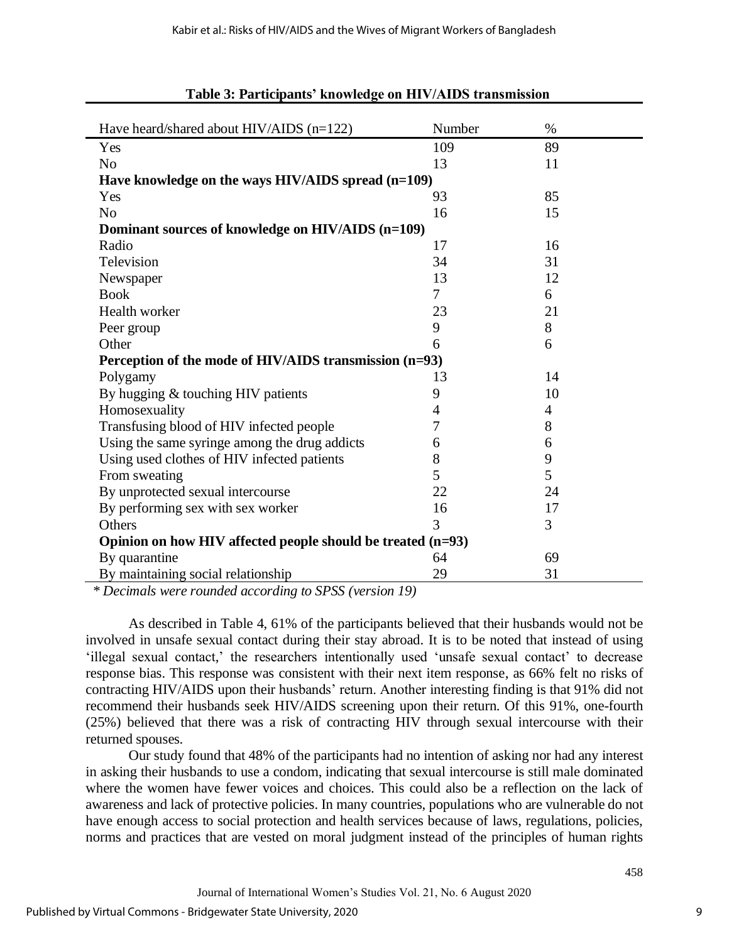| Have heard/shared about HIV/AIDS (n=122)                      | Number                   | $\%$ |  |  |  |  |
|---------------------------------------------------------------|--------------------------|------|--|--|--|--|
| Yes                                                           | 109                      | 89   |  |  |  |  |
| N <sub>o</sub>                                                | 13                       | 11   |  |  |  |  |
| Have knowledge on the ways HIV/AIDS spread (n=109)            |                          |      |  |  |  |  |
| Yes                                                           | 93                       | 85   |  |  |  |  |
| N <sub>o</sub>                                                | 16                       | 15   |  |  |  |  |
| Dominant sources of knowledge on HIV/AIDS (n=109)             |                          |      |  |  |  |  |
| Radio                                                         | 17                       | 16   |  |  |  |  |
| Television                                                    | 34                       | 31   |  |  |  |  |
| Newspaper                                                     | 13                       | 12   |  |  |  |  |
| <b>Book</b>                                                   | $\overline{\mathcal{L}}$ | 6    |  |  |  |  |
| Health worker                                                 | 23                       | 21   |  |  |  |  |
| Peer group                                                    | 9                        | 8    |  |  |  |  |
| Other                                                         | 6                        | 6    |  |  |  |  |
| Perception of the mode of HIV/AIDS transmission (n=93)        |                          |      |  |  |  |  |
| Polygamy                                                      | 13                       | 14   |  |  |  |  |
| By hugging & touching HIV patients                            | 9                        | 10   |  |  |  |  |
| Homosexuality                                                 | 4                        | 4    |  |  |  |  |
| Transfusing blood of HIV infected people                      | 7                        | 8    |  |  |  |  |
| Using the same syringe among the drug addicts                 | 6                        | 6    |  |  |  |  |
| Using used clothes of HIV infected patients                   | 8                        | 9    |  |  |  |  |
| From sweating                                                 | 5                        | 5    |  |  |  |  |
| By unprotected sexual intercourse                             | 22                       | 24   |  |  |  |  |
| By performing sex with sex worker                             | 16                       | 17   |  |  |  |  |
| Others                                                        | 3<br>3                   |      |  |  |  |  |
| Opinion on how HIV affected people should be treated $(n=93)$ |                          |      |  |  |  |  |
| By quarantine                                                 | 64                       | 69   |  |  |  |  |
| By maintaining social relationship                            | 29                       | 31   |  |  |  |  |

#### **Table 3: Participants' knowledge on HIV/AIDS transmission**

*\* Decimals were rounded according to SPSS (version 19)*

As described in Table 4, 61% of the participants believed that their husbands would not be involved in unsafe sexual contact during their stay abroad. It is to be noted that instead of using 'illegal sexual contact,' the researchers intentionally used 'unsafe sexual contact' to decrease response bias. This response was consistent with their next item response, as 66% felt no risks of contracting HIV/AIDS upon their husbands' return. Another interesting finding is that 91% did not recommend their husbands seek HIV/AIDS screening upon their return. Of this 91%, one-fourth (25%) believed that there was a risk of contracting HIV through sexual intercourse with their returned spouses.

Our study found that 48% of the participants had no intention of asking nor had any interest in asking their husbands to use a condom, indicating that sexual intercourse is still male dominated where the women have fewer voices and choices. This could also be a reflection on the lack of awareness and lack of protective policies. In many countries, populations who are vulnerable do not have enough access to social protection and health services because of laws, regulations, policies, norms and practices that are vested on moral judgment instead of the principles of human rights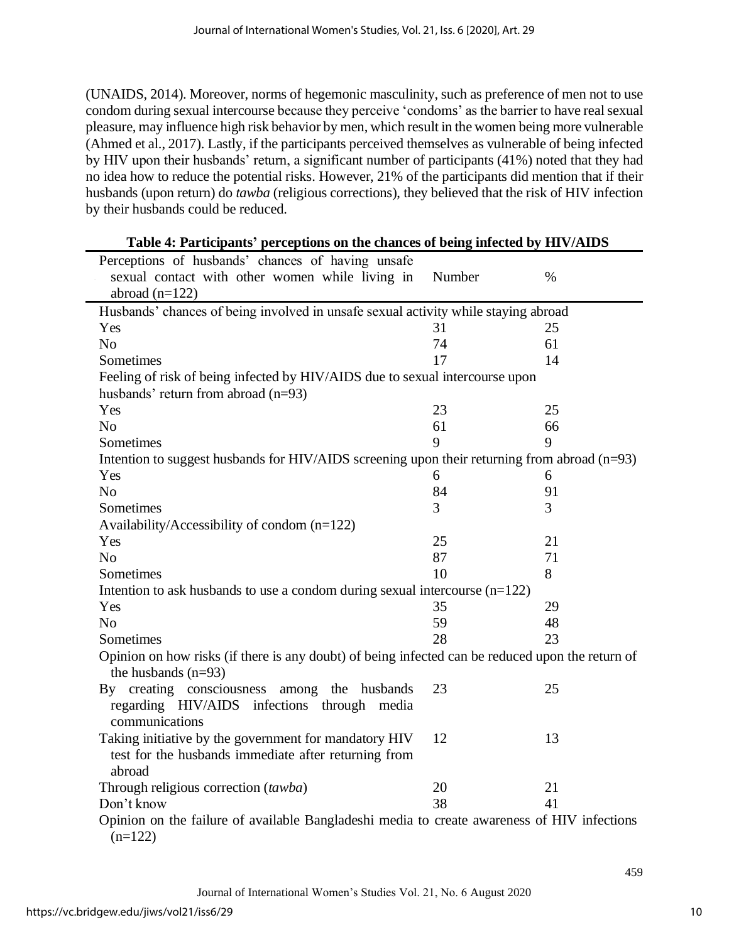(UNAIDS, 2014). Moreover, norms of hegemonic masculinity, such as preference of men not to use condom during sexual intercourse because they perceive 'condoms' as the barrier to have real sexual pleasure, may influence high risk behavior by men, which result in the women being more vulnerable (Ahmed et al., 2017). Lastly, if the participants perceived themselves as vulnerable of being infected by HIV upon their husbands' return, a significant number of participants (41%) noted that they had no idea how to reduce the potential risks. However, 21% of the participants did mention that if their husbands (upon return) do *tawba* (religious corrections), they believed that the risk of HIV infection by their husbands could be reduced.

| <b>Table 4.</b> Farticipatity perceptions on the chances of being infected by TIFV/AIDS                                   |        |      |  |  |
|---------------------------------------------------------------------------------------------------------------------------|--------|------|--|--|
| Perceptions of husbands' chances of having unsafe                                                                         |        |      |  |  |
| sexual contact with other women while living in                                                                           | Number | $\%$ |  |  |
| abroad $(n=122)$                                                                                                          |        |      |  |  |
| Husbands' chances of being involved in unsafe sexual activity while staying abroad                                        |        |      |  |  |
| Yes                                                                                                                       | 31     | 25   |  |  |
| N <sub>o</sub>                                                                                                            | 74     | 61   |  |  |
| Sometimes                                                                                                                 | 17     | 14   |  |  |
| Feeling of risk of being infected by HIV/AIDS due to sexual intercourse upon                                              |        |      |  |  |
| husbands' return from abroad $(n=93)$                                                                                     |        |      |  |  |
| Yes                                                                                                                       | 23     | 25   |  |  |
| N <sub>o</sub>                                                                                                            | 61     | 66   |  |  |
| Sometimes                                                                                                                 | 9      | 9    |  |  |
| Intention to suggest husbands for HIV/AIDS screening upon their returning from abroad (n=93)                              |        |      |  |  |
| Yes                                                                                                                       | 6      | 6    |  |  |
| N <sub>0</sub>                                                                                                            | 84     | 91   |  |  |
| Sometimes                                                                                                                 | 3      | 3    |  |  |
| Availability/Accessibility of condom $(n=122)$                                                                            |        |      |  |  |
| Yes                                                                                                                       | 25     | 21   |  |  |
| N <sub>o</sub>                                                                                                            | 87     | 71   |  |  |
| Sometimes                                                                                                                 | 10     | 8    |  |  |
| Intention to ask husbands to use a condom during sexual intercourse $(n=122)$                                             |        |      |  |  |
| Yes                                                                                                                       | 35     | 29   |  |  |
| N <sub>o</sub>                                                                                                            | 59     | 48   |  |  |
| Sometimes                                                                                                                 | 28     | 23   |  |  |
| Opinion on how risks (if there is any doubt) of being infected can be reduced upon the return of<br>the husbands $(n=93)$ |        |      |  |  |
| By creating consciousness<br>among the husbands<br>regarding HIV/AIDS infections through media                            | 23     | 25   |  |  |
| communications                                                                                                            |        |      |  |  |
| Taking initiative by the government for mandatory HIV<br>test for the husbands immediate after returning from<br>abroad   | 12     | 13   |  |  |
| Through religious correction (tawba)                                                                                      | 20     | 21   |  |  |
| Don't know                                                                                                                | 38     | 41   |  |  |
| Opinion on the failure of available Bangladeshi media to create awareness of HIV infections<br>$(n=122)$                  |        |      |  |  |

**Table 4: Participants' perceptions on the chances of being infected by HIV/AIDS**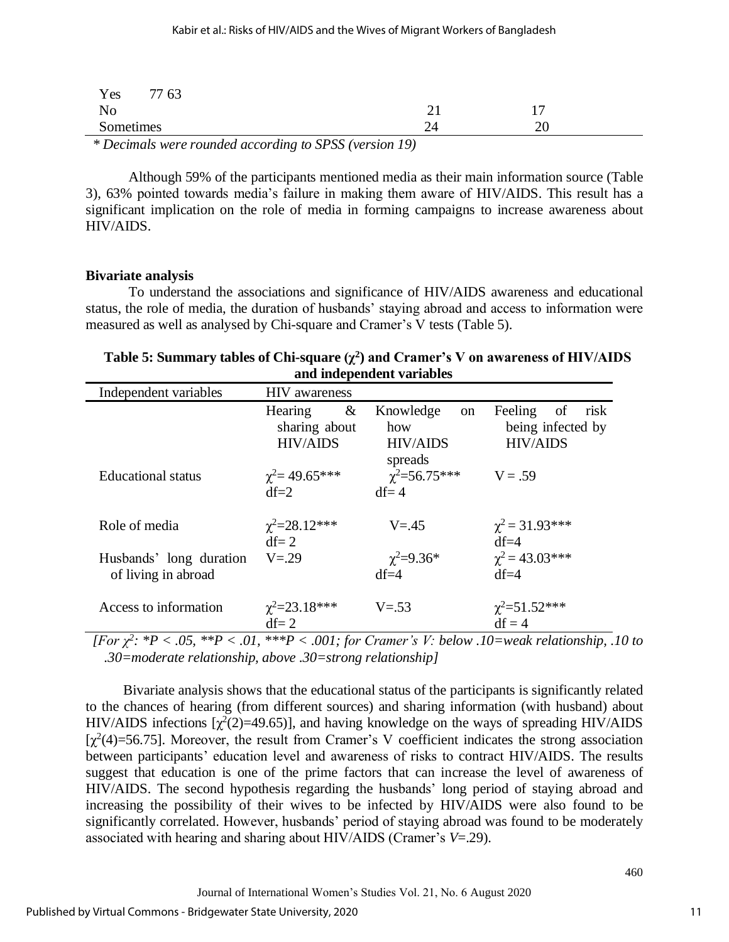| Yes<br>77 63                                 |                                                                                   |      |   |
|----------------------------------------------|-----------------------------------------------------------------------------------|------|---|
| No                                           |                                                                                   | – ⊥  |   |
| Sometimes                                    |                                                                                   | ـ ــ | ້ |
| $\sim$ $\sim$ $\sim$ $\sim$ $\sim$<br>$\sim$ | $\sim$ $\sim$ $\sim$ $\sim$<br>$\sim$ $\sim$ $\sim$ $\sim$ $\sim$<br>$\mathbf{r}$ |      |   |

*\* Decimals were rounded according to SPSS (version 19)*

Although 59% of the participants mentioned media as their main information source (Table 3), 63% pointed towards media's failure in making them aware of HIV/AIDS. This result has a significant implication on the role of media in forming campaigns to increase awareness about HIV/AIDS.

#### **Bivariate analysis**

To understand the associations and significance of HIV/AIDS awareness and educational status, the role of media, the duration of husbands' staying abroad and access to information were measured as well as analysed by Chi-square and Cramer's V tests (Table 5).

| Table 5: Summary tables of Chi-square $(\chi^2)$ and Cramer's V on awareness of HIV/AIDS |
|------------------------------------------------------------------------------------------|
| and independent variables                                                                |

| Independent variables                          | <b>HIV</b> awareness                             |                                                                 |                                                               |
|------------------------------------------------|--------------------------------------------------|-----------------------------------------------------------------|---------------------------------------------------------------|
|                                                | &<br>Hearing<br>sharing about<br><b>HIV/AIDS</b> | Knowledge<br><sub>on</sub><br>how<br><b>HIV/AIDS</b><br>spreads | Feeling<br>of<br>risk<br>being infected by<br><b>HIV/AIDS</b> |
| <b>Educational</b> status                      | $\gamma^2$ = 49.65***<br>$df=2$                  | $\chi^2 = 56.75***$<br>$df = 4$                                 | $V = .59$                                                     |
| Role of media                                  | $\chi^2 = 28.12$ ***<br>$df = 2$                 | $V = 45$                                                        | $\chi^2$ = 31.93***<br>$df = 4$                               |
| Husbands' long duration<br>of living in abroad | $V = 29$                                         | $\chi^2 = 9.36^*$<br>$df=4$                                     | $\chi^2$ = 43.03***<br>$df=4$                                 |
| Access to information                          | $\chi^2 = 23.18$ ***<br>$df = 2$                 | $V = 53$                                                        | $\chi^2 = 51.52$ ***<br>$df = 4$                              |

*[For χ<sup>2</sup> : \*P < .05, \*\*P < .01, \*\*\*P < .001; for Cramer's V: below .10=weak relationship, .10 to .30=moderate relationship, above .30=strong relationship]* 

Bivariate analysis shows that the educational status of the participants is significantly related to the chances of hearing (from different sources) and sharing information (with husband) about HIV/AIDS infections  $[\chi^2(2)=49.65]$ , and having knowledge on the ways of spreading HIV/AIDS [ $\chi^2(4)$ =56.75]. Moreover, the result from Cramer's V coefficient indicates the strong association between participants' education level and awareness of risks to contract HIV/AIDS. The results suggest that education is one of the prime factors that can increase the level of awareness of HIV/AIDS. The second hypothesis regarding the husbands' long period of staying abroad and increasing the possibility of their wives to be infected by HIV/AIDS were also found to be significantly correlated. However, husbands' period of staying abroad was found to be moderately associated with hearing and sharing about HIV/AIDS (Cramer's *V*=.29).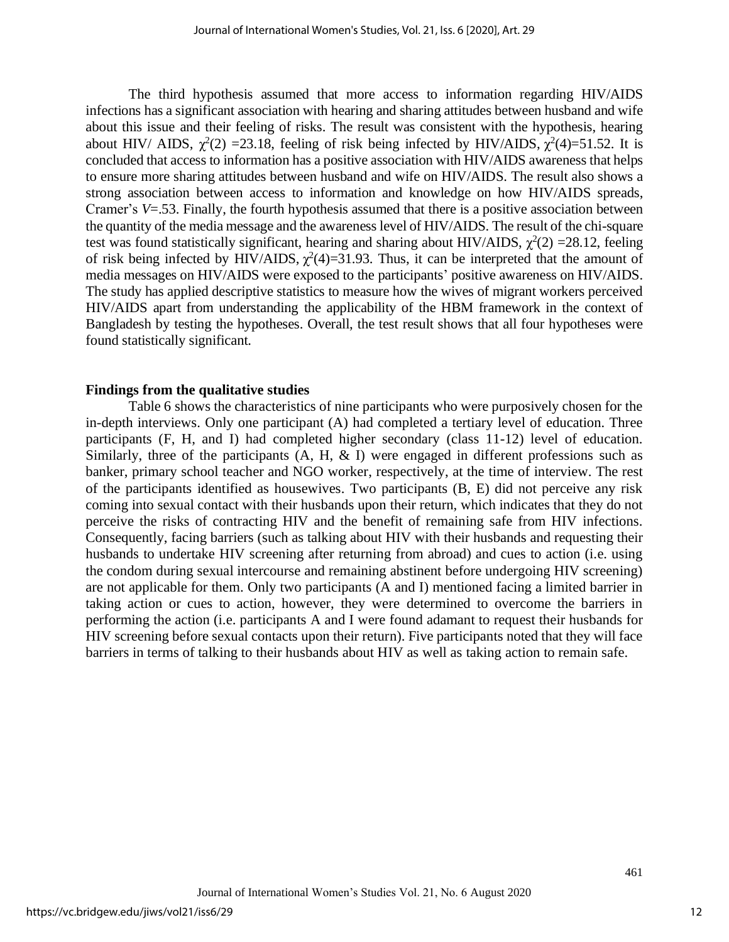The third hypothesis assumed that more access to information regarding HIV/AIDS infections has a significant association with hearing and sharing attitudes between husband and wife about this issue and their feeling of risks. The result was consistent with the hypothesis, hearing about HIV/ AIDS,  $\chi^2(2) = 23.18$ , feeling of risk being infected by HIV/AIDS,  $\chi^2(4)=51.52$ . It is concluded that access to information has a positive association with HIV/AIDS awareness that helps to ensure more sharing attitudes between husband and wife on HIV/AIDS. The result also shows a strong association between access to information and knowledge on how HIV/AIDS spreads, Cramer's *V*=.53. Finally, the fourth hypothesis assumed that there is a positive association between the quantity of the media message and the awareness level of HIV/AIDS. The result of the chi-square test was found statistically significant, hearing and sharing about HIV/AIDS,  $\chi^2(2) = 28.12$ , feeling of risk being infected by HIV/AIDS,  $\chi^2(4)=31.93$ . Thus, it can be interpreted that the amount of media messages on HIV/AIDS were exposed to the participants' positive awareness on HIV/AIDS. The study has applied descriptive statistics to measure how the wives of migrant workers perceived HIV/AIDS apart from understanding the applicability of the HBM framework in the context of Bangladesh by testing the hypotheses. Overall, the test result shows that all four hypotheses were found statistically significant.

#### **Findings from the qualitative studies**

Table 6 shows the characteristics of nine participants who were purposively chosen for the in-depth interviews. Only one participant (A) had completed a tertiary level of education. Three participants (F, H, and I) had completed higher secondary (class 11-12) level of education. Similarly, three of the participants  $(A, H, \& I)$  were engaged in different professions such as banker, primary school teacher and NGO worker, respectively, at the time of interview. The rest of the participants identified as housewives. Two participants (B, E) did not perceive any risk coming into sexual contact with their husbands upon their return, which indicates that they do not perceive the risks of contracting HIV and the benefit of remaining safe from HIV infections. Consequently, facing barriers (such as talking about HIV with their husbands and requesting their husbands to undertake HIV screening after returning from abroad) and cues to action (i.e. using the condom during sexual intercourse and remaining abstinent before undergoing HIV screening) are not applicable for them. Only two participants (A and I) mentioned facing a limited barrier in taking action or cues to action, however, they were determined to overcome the barriers in performing the action (i.e. participants A and I were found adamant to request their husbands for HIV screening before sexual contacts upon their return). Five participants noted that they will face barriers in terms of talking to their husbands about HIV as well as taking action to remain safe.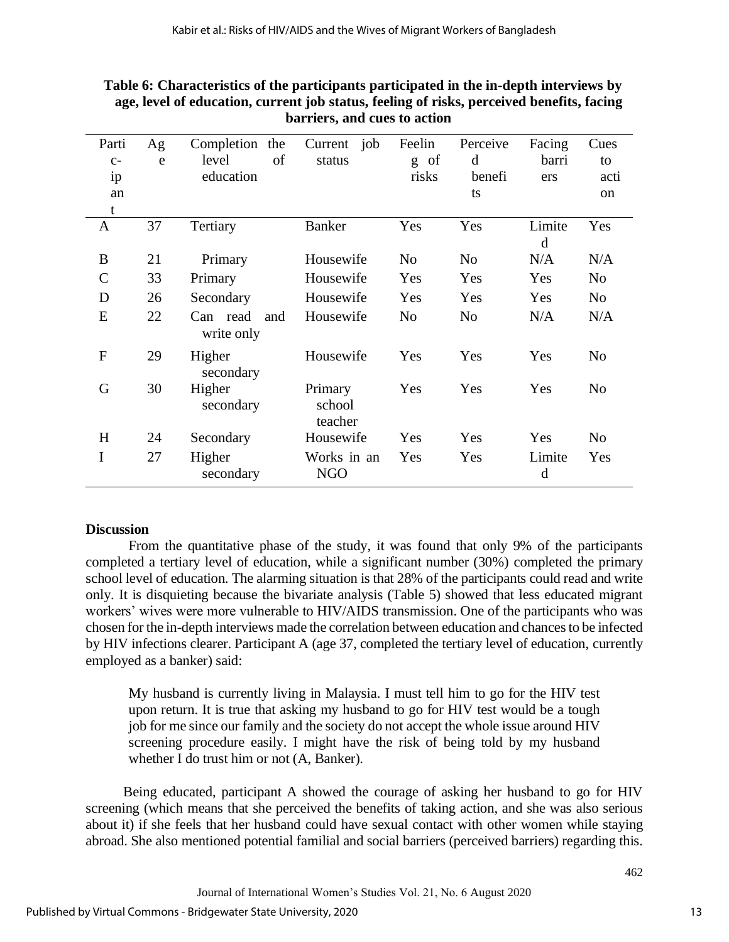| Parti<br>$C-$ | Ag<br>e | Completion the<br>of<br>level | Current job<br>status        | Feelin<br>of<br>g | Perceive<br>d  | Facing<br>barri | Cues<br>to     |
|---------------|---------|-------------------------------|------------------------------|-------------------|----------------|-----------------|----------------|
| ip            |         | education                     |                              | risks             | benefi         | ers             | acti           |
| an            |         |                               |                              |                   | ts             |                 | <sub>on</sub>  |
| t             |         |                               |                              |                   |                |                 |                |
| A             | 37      | Tertiary                      | <b>Banker</b>                | Yes               | Yes            | Limite<br>d     | Yes            |
| B             | 21      | Primary                       | Housewife                    | N <sub>o</sub>    | N <sub>o</sub> | N/A             | N/A            |
| $\mathcal{C}$ | 33      | Primary                       | Housewife                    | Yes               | Yes            | Yes             | N <sub>0</sub> |
| D             | 26      | Secondary                     | Housewife                    | Yes               | Yes            | Yes             | N <sub>0</sub> |
| E             | 22      | Can read<br>and<br>write only | Housewife                    | N <sub>o</sub>    | N <sub>o</sub> | N/A             | N/A            |
| $\mathbf{F}$  | 29      | Higher<br>secondary           | Housewife                    | Yes               | Yes            | Yes             | N <sub>0</sub> |
| G             | 30      | Higher<br>secondary           | Primary<br>school<br>teacher | Yes               | Yes            | Yes             | N <sub>0</sub> |
| H             | 24      | Secondary                     | Housewife                    | Yes               | Yes            | Yes             | N <sub>0</sub> |
| I             | 27      | Higher<br>secondary           | Works in an<br><b>NGO</b>    | Yes               | Yes            | Limite<br>d     | Yes            |

### **Table 6: Characteristics of the participants participated in the in-depth interviews by age, level of education, current job status, feeling of risks, perceived benefits, facing barriers, and cues to action**

#### **Discussion**

From the quantitative phase of the study, it was found that only 9% of the participants completed a tertiary level of education, while a significant number (30%) completed the primary school level of education. The alarming situation is that 28% of the participants could read and write only. It is disquieting because the bivariate analysis (Table 5) showed that less educated migrant workers' wives were more vulnerable to HIV/AIDS transmission. One of the participants who was chosen for the in-depth interviews made the correlation between education and chances to be infected by HIV infections clearer. Participant A (age 37, completed the tertiary level of education, currently employed as a banker) said:

My husband is currently living in Malaysia. I must tell him to go for the HIV test upon return. It is true that asking my husband to go for HIV test would be a tough job for me since our family and the society do not accept the whole issue around HIV screening procedure easily. I might have the risk of being told by my husband whether I do trust him or not (A, Banker).

Being educated, participant A showed the courage of asking her husband to go for HIV screening (which means that she perceived the benefits of taking action, and she was also serious about it) if she feels that her husband could have sexual contact with other women while staying abroad. She also mentioned potential familial and social barriers (perceived barriers) regarding this.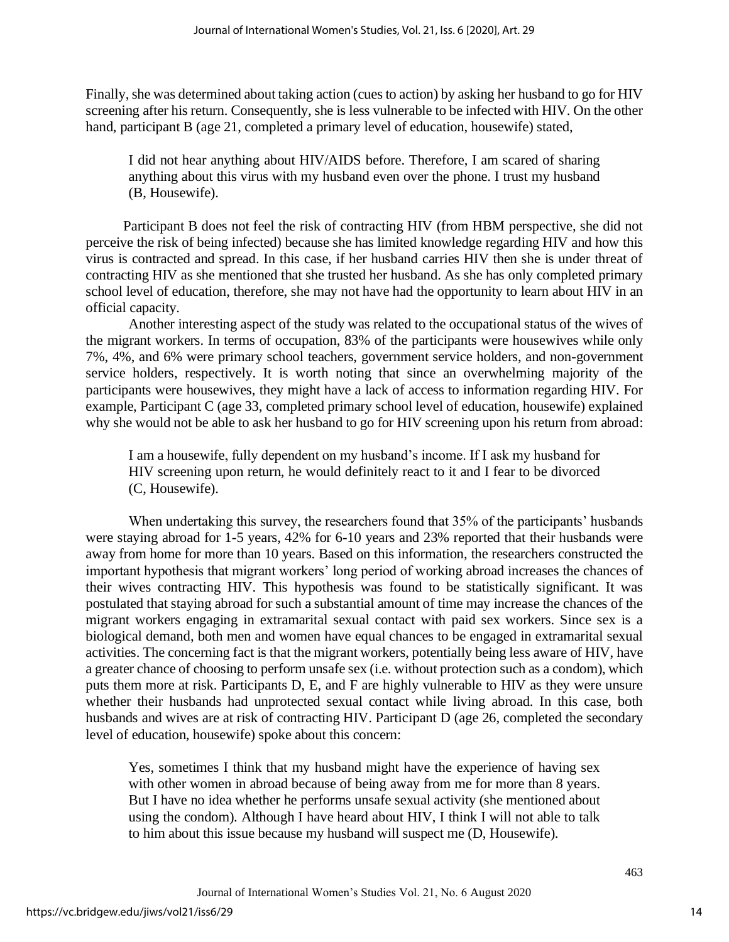Finally, she was determined about taking action (cues to action) by asking her husband to go for HIV screening after his return. Consequently, she is less vulnerable to be infected with HIV. On the other hand, participant B (age 21, completed a primary level of education, housewife) stated,

I did not hear anything about HIV/AIDS before. Therefore, I am scared of sharing anything about this virus with my husband even over the phone. I trust my husband (B, Housewife).

Participant B does not feel the risk of contracting HIV (from HBM perspective, she did not perceive the risk of being infected) because she has limited knowledge regarding HIV and how this virus is contracted and spread. In this case, if her husband carries HIV then she is under threat of contracting HIV as she mentioned that she trusted her husband. As she has only completed primary school level of education, therefore, she may not have had the opportunity to learn about HIV in an official capacity.

Another interesting aspect of the study was related to the occupational status of the wives of the migrant workers. In terms of occupation, 83% of the participants were housewives while only 7%, 4%, and 6% were primary school teachers, government service holders, and non-government service holders, respectively. It is worth noting that since an overwhelming majority of the participants were housewives, they might have a lack of access to information regarding HIV. For example, Participant C (age 33, completed primary school level of education, housewife) explained why she would not be able to ask her husband to go for HIV screening upon his return from abroad:

I am a housewife, fully dependent on my husband's income. If I ask my husband for HIV screening upon return, he would definitely react to it and I fear to be divorced (C, Housewife).

When undertaking this survey, the researchers found that 35% of the participants' husbands were staying abroad for 1-5 years, 42% for 6-10 years and 23% reported that their husbands were away from home for more than 10 years. Based on this information, the researchers constructed the important hypothesis that migrant workers' long period of working abroad increases the chances of their wives contracting HIV. This hypothesis was found to be statistically significant. It was postulated that staying abroad for such a substantial amount of time may increase the chances of the migrant workers engaging in extramarital sexual contact with paid sex workers. Since sex is a biological demand, both men and women have equal chances to be engaged in extramarital sexual activities. The concerning fact is that the migrant workers, potentially being less aware of HIV, have a greater chance of choosing to perform unsafe sex (i.e. without protection such as a condom), which puts them more at risk. Participants D, E, and F are highly vulnerable to HIV as they were unsure whether their husbands had unprotected sexual contact while living abroad. In this case, both husbands and wives are at risk of contracting HIV. Participant D (age 26, completed the secondary level of education, housewife) spoke about this concern:

Yes, sometimes I think that my husband might have the experience of having sex with other women in abroad because of being away from me for more than 8 years. But I have no idea whether he performs unsafe sexual activity (she mentioned about using the condom). Although I have heard about HIV, I think I will not able to talk to him about this issue because my husband will suspect me (D, Housewife).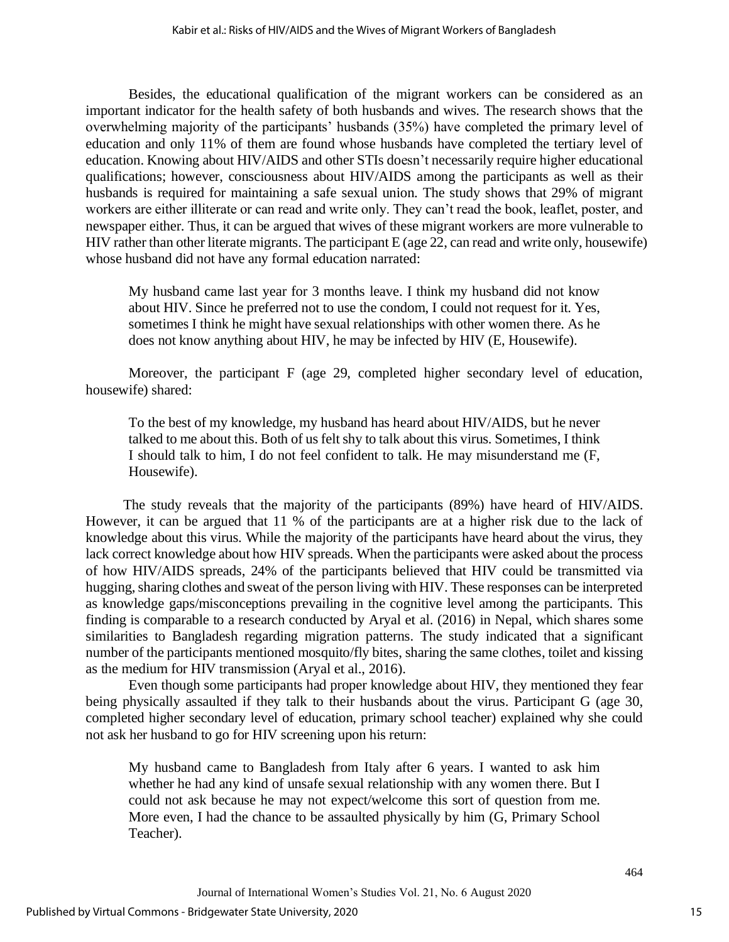Besides, the educational qualification of the migrant workers can be considered as an important indicator for the health safety of both husbands and wives. The research shows that the overwhelming majority of the participants' husbands (35%) have completed the primary level of education and only 11% of them are found whose husbands have completed the tertiary level of education. Knowing about HIV/AIDS and other STIs doesn't necessarily require higher educational qualifications; however, consciousness about HIV/AIDS among the participants as well as their husbands is required for maintaining a safe sexual union. The study shows that 29% of migrant workers are either illiterate or can read and write only. They can't read the book, leaflet, poster, and newspaper either. Thus, it can be argued that wives of these migrant workers are more vulnerable to HIV rather than other literate migrants. The participant E (age 22, can read and write only, housewife) whose husband did not have any formal education narrated:

My husband came last year for 3 months leave. I think my husband did not know about HIV. Since he preferred not to use the condom, I could not request for it. Yes, sometimes I think he might have sexual relationships with other women there. As he does not know anything about HIV, he may be infected by HIV (E, Housewife).

Moreover, the participant F (age 29, completed higher secondary level of education, housewife) shared:

To the best of my knowledge, my husband has heard about HIV/AIDS, but he never talked to me about this. Both of us felt shy to talk about this virus. Sometimes, I think I should talk to him, I do not feel confident to talk. He may misunderstand me (F, Housewife).

The study reveals that the majority of the participants (89%) have heard of HIV/AIDS. However, it can be argued that 11 % of the participants are at a higher risk due to the lack of knowledge about this virus. While the majority of the participants have heard about the virus, they lack correct knowledge about how HIV spreads. When the participants were asked about the process of how HIV/AIDS spreads, 24% of the participants believed that HIV could be transmitted via hugging, sharing clothes and sweat of the person living with HIV. These responses can be interpreted as knowledge gaps/misconceptions prevailing in the cognitive level among the participants. This finding is comparable to a research conducted by Aryal et al. (2016) in Nepal, which shares some similarities to Bangladesh regarding migration patterns. The study indicated that a significant number of the participants mentioned mosquito/fly bites, sharing the same clothes, toilet and kissing as the medium for HIV transmission (Aryal et al., 2016).

Even though some participants had proper knowledge about HIV, they mentioned they fear being physically assaulted if they talk to their husbands about the virus. Participant G (age 30, completed higher secondary level of education, primary school teacher) explained why she could not ask her husband to go for HIV screening upon his return:

My husband came to Bangladesh from Italy after 6 years. I wanted to ask him whether he had any kind of unsafe sexual relationship with any women there. But I could not ask because he may not expect/welcome this sort of question from me. More even, I had the chance to be assaulted physically by him (G, Primary School Teacher).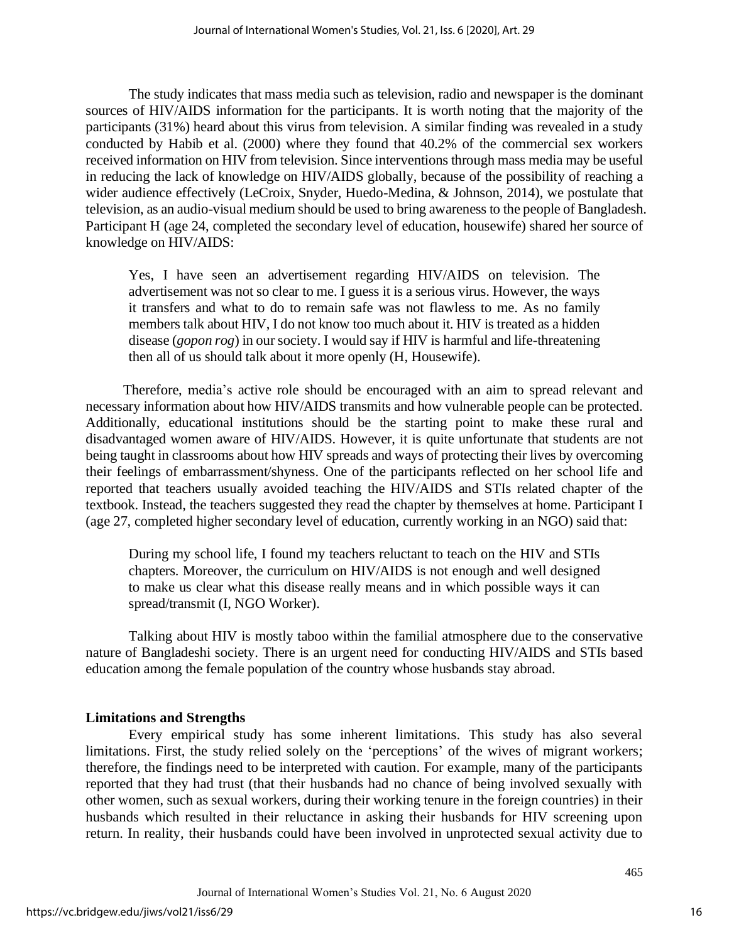The study indicates that mass media such as television, radio and newspaper is the dominant sources of HIV/AIDS information for the participants. It is worth noting that the majority of the participants (31%) heard about this virus from television. A similar finding was revealed in a study conducted by Habib et al. (2000) where they found that 40.2% of the commercial sex workers received information on HIV from television. Since interventions through mass media may be useful in reducing the lack of knowledge on HIV/AIDS globally, because of the possibility of reaching a wider audience effectively (LeCroix, Snyder, Huedo-Medina, & Johnson, 2014), we postulate that television, as an audio-visual medium should be used to bring awareness to the people of Bangladesh. Participant H (age 24, completed the secondary level of education, housewife) shared her source of knowledge on HIV/AIDS:

Yes, I have seen an advertisement regarding HIV/AIDS on television. The advertisement was not so clear to me. I guess it is a serious virus. However, the ways it transfers and what to do to remain safe was not flawless to me. As no family members talk about HIV, I do not know too much about it. HIV is treated as a hidden disease (*gopon rog*) in our society. I would say if HIV is harmful and life-threatening then all of us should talk about it more openly (H, Housewife).

Therefore, media's active role should be encouraged with an aim to spread relevant and necessary information about how HIV/AIDS transmits and how vulnerable people can be protected. Additionally, educational institutions should be the starting point to make these rural and disadvantaged women aware of HIV/AIDS. However, it is quite unfortunate that students are not being taught in classrooms about how HIV spreads and ways of protecting their lives by overcoming their feelings of embarrassment/shyness. One of the participants reflected on her school life and reported that teachers usually avoided teaching the HIV/AIDS and STIs related chapter of the textbook. Instead, the teachers suggested they read the chapter by themselves at home. Participant I (age 27, completed higher secondary level of education, currently working in an NGO) said that:

During my school life, I found my teachers reluctant to teach on the HIV and STIs chapters. Moreover, the curriculum on HIV/AIDS is not enough and well designed to make us clear what this disease really means and in which possible ways it can spread/transmit (I, NGO Worker).

Talking about HIV is mostly taboo within the familial atmosphere due to the conservative nature of Bangladeshi society. There is an urgent need for conducting HIV/AIDS and STIs based education among the female population of the country whose husbands stay abroad.

# **Limitations and Strengths**

Every empirical study has some inherent limitations. This study has also several limitations. First, the study relied solely on the 'perceptions' of the wives of migrant workers; therefore, the findings need to be interpreted with caution. For example, many of the participants reported that they had trust (that their husbands had no chance of being involved sexually with other women, such as sexual workers, during their working tenure in the foreign countries) in their husbands which resulted in their reluctance in asking their husbands for HIV screening upon return. In reality, their husbands could have been involved in unprotected sexual activity due to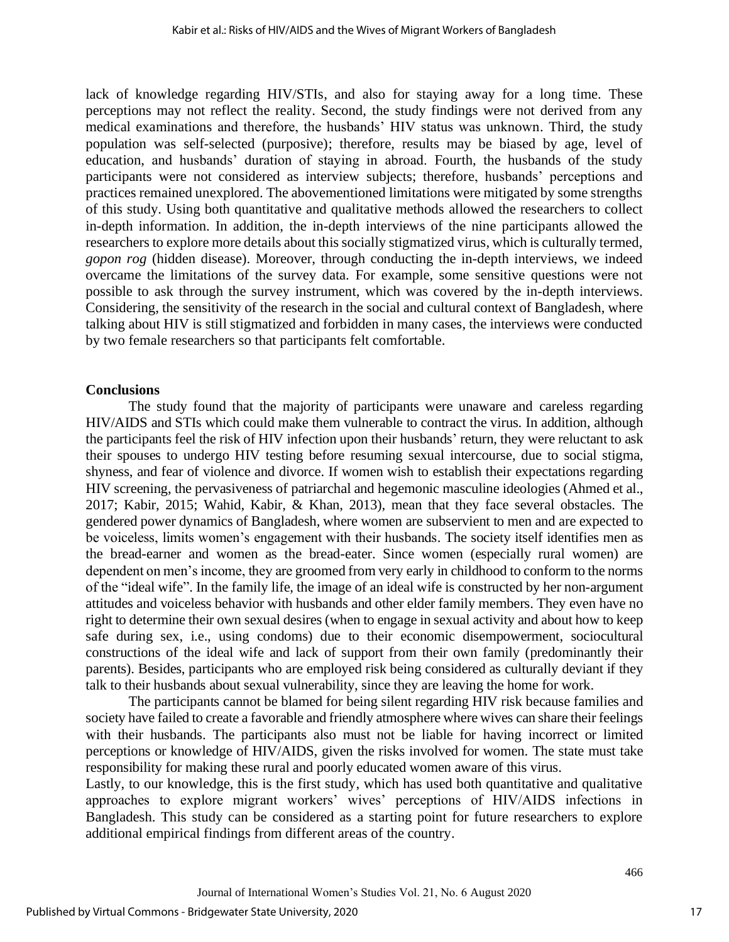lack of knowledge regarding HIV/STIs, and also for staying away for a long time. These perceptions may not reflect the reality. Second, the study findings were not derived from any medical examinations and therefore, the husbands' HIV status was unknown. Third, the study population was self-selected (purposive); therefore, results may be biased by age, level of education, and husbands' duration of staying in abroad. Fourth, the husbands of the study participants were not considered as interview subjects; therefore, husbands' perceptions and practices remained unexplored. The abovementioned limitations were mitigated by some strengths of this study. Using both quantitative and qualitative methods allowed the researchers to collect in-depth information. In addition, the in-depth interviews of the nine participants allowed the researchers to explore more details about this socially stigmatized virus, which is culturally termed, *gopon rog* (hidden disease). Moreover, through conducting the in-depth interviews, we indeed overcame the limitations of the survey data. For example, some sensitive questions were not possible to ask through the survey instrument, which was covered by the in-depth interviews. Considering, the sensitivity of the research in the social and cultural context of Bangladesh, where talking about HIV is still stigmatized and forbidden in many cases, the interviews were conducted by two female researchers so that participants felt comfortable.

#### **Conclusions**

The study found that the majority of participants were unaware and careless regarding HIV/AIDS and STIs which could make them vulnerable to contract the virus. In addition, although the participants feel the risk of HIV infection upon their husbands' return, they were reluctant to ask their spouses to undergo HIV testing before resuming sexual intercourse, due to social stigma, shyness, and fear of violence and divorce. If women wish to establish their expectations regarding HIV screening, the pervasiveness of patriarchal and hegemonic masculine ideologies (Ahmed et al., 2017; Kabir, 2015; Wahid, Kabir, & Khan, 2013), mean that they face several obstacles. The gendered power dynamics of Bangladesh, where women are subservient to men and are expected to be voiceless, limits women's engagement with their husbands. The society itself identifies men as the bread-earner and women as the bread-eater. Since women (especially rural women) are dependent on men's income, they are groomed from very early in childhood to conform to the norms of the "ideal wife". In the family life, the image of an ideal wife is constructed by her non-argument attitudes and voiceless behavior with husbands and other elder family members. They even have no right to determine their own sexual desires (when to engage in sexual activity and about how to keep safe during sex, i.e., using condoms) due to their economic disempowerment, sociocultural constructions of the ideal wife and lack of support from their own family (predominantly their parents). Besides, participants who are employed risk being considered as culturally deviant if they talk to their husbands about sexual vulnerability, since they are leaving the home for work.

The participants cannot be blamed for being silent regarding HIV risk because families and society have failed to create a favorable and friendly atmosphere where wives can share their feelings with their husbands. The participants also must not be liable for having incorrect or limited perceptions or knowledge of HIV/AIDS, given the risks involved for women. The state must take responsibility for making these rural and poorly educated women aware of this virus.

Lastly, to our knowledge, this is the first study, which has used both quantitative and qualitative approaches to explore migrant workers' wives' perceptions of HIV/AIDS infections in Bangladesh. This study can be considered as a starting point for future researchers to explore additional empirical findings from different areas of the country.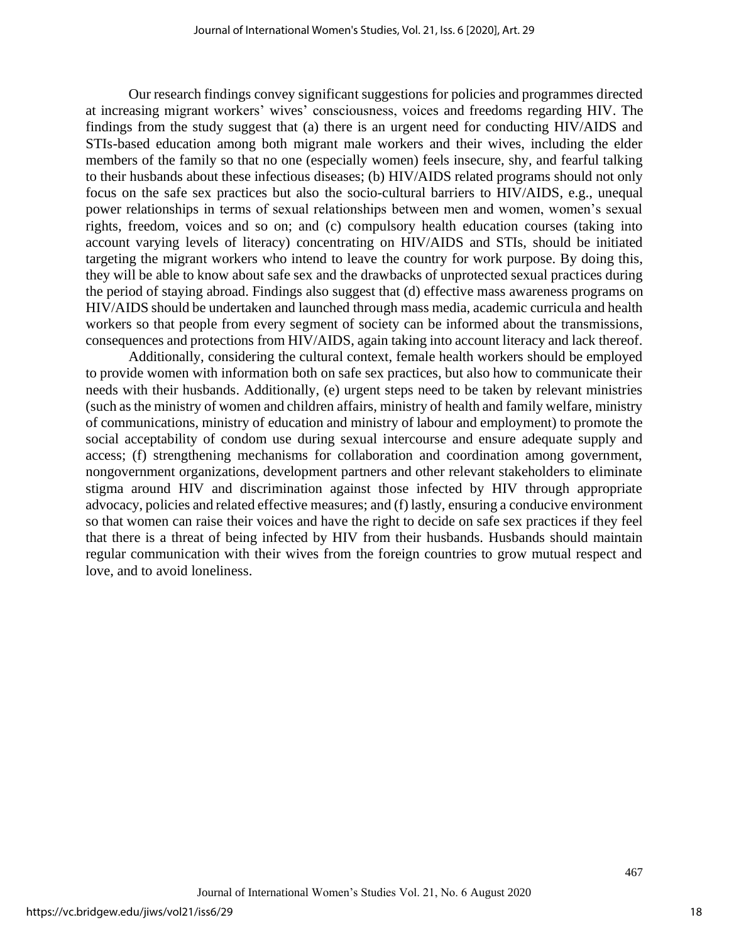Our research findings convey significant suggestions for policies and programmes directed at increasing migrant workers' wives' consciousness, voices and freedoms regarding HIV. The findings from the study suggest that (a) there is an urgent need for conducting HIV/AIDS and STIs-based education among both migrant male workers and their wives, including the elder members of the family so that no one (especially women) feels insecure, shy, and fearful talking to their husbands about these infectious diseases; (b) HIV/AIDS related programs should not only focus on the safe sex practices but also the socio-cultural barriers to HIV/AIDS, e.g., unequal power relationships in terms of sexual relationships between men and women, women's sexual rights, freedom, voices and so on; and (c) compulsory health education courses (taking into account varying levels of literacy) concentrating on HIV/AIDS and STIs, should be initiated targeting the migrant workers who intend to leave the country for work purpose. By doing this, they will be able to know about safe sex and the drawbacks of unprotected sexual practices during the period of staying abroad. Findings also suggest that (d) effective mass awareness programs on HIV/AIDS should be undertaken and launched through mass media, academic curricula and health workers so that people from every segment of society can be informed about the transmissions, consequences and protections from HIV/AIDS, again taking into account literacy and lack thereof.

Additionally, considering the cultural context, female health workers should be employed to provide women with information both on safe sex practices, but also how to communicate their needs with their husbands. Additionally, (e) urgent steps need to be taken by relevant ministries (such as the ministry of women and children affairs, ministry of health and family welfare, ministry of communications, ministry of education and ministry of labour and employment) to promote the social acceptability of condom use during sexual intercourse and ensure adequate supply and access; (f) strengthening mechanisms for collaboration and coordination among government, nongovernment organizations, development partners and other relevant stakeholders to eliminate stigma around HIV and discrimination against those infected by HIV through appropriate advocacy, policies and related effective measures; and (f) lastly, ensuring a conducive environment so that women can raise their voices and have the right to decide on safe sex practices if they feel that there is a threat of being infected by HIV from their husbands. Husbands should maintain regular communication with their wives from the foreign countries to grow mutual respect and love, and to avoid loneliness.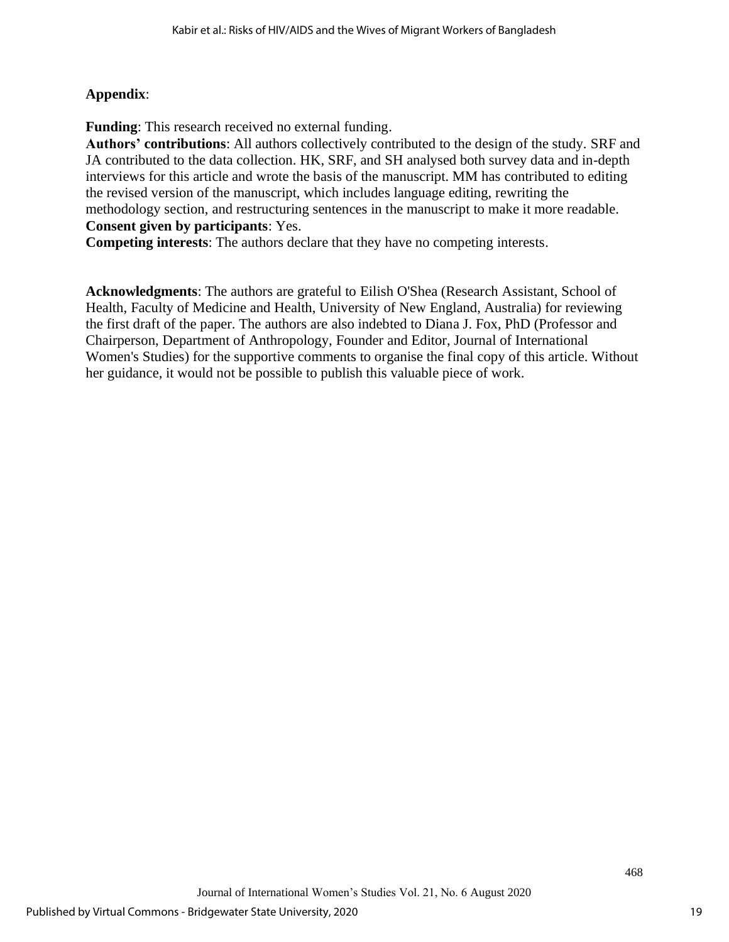# **Appendix**:

**Funding**: This research received no external funding.

**Authors' contributions**: All authors collectively contributed to the design of the study. SRF and JA contributed to the data collection. HK, SRF, and SH analysed both survey data and in-depth interviews for this article and wrote the basis of the manuscript. MM has contributed to editing the revised version of the manuscript, which includes language editing, rewriting the methodology section, and restructuring sentences in the manuscript to make it more readable. **Consent given by participants**: Yes.

**Competing interests**: The authors declare that they have no competing interests.

**Acknowledgments**: The authors are grateful to Eilish O'Shea (Research Assistant, School of Health, Faculty of Medicine and Health, University of New England, Australia) for reviewing the first draft of the paper. The authors are also indebted to Diana J. Fox, PhD (Professor and Chairperson, Department of Anthropology, Founder and Editor, Journal of International Women's Studies) for the supportive comments to organise the final copy of this article. Without her guidance, it would not be possible to publish this valuable piece of work.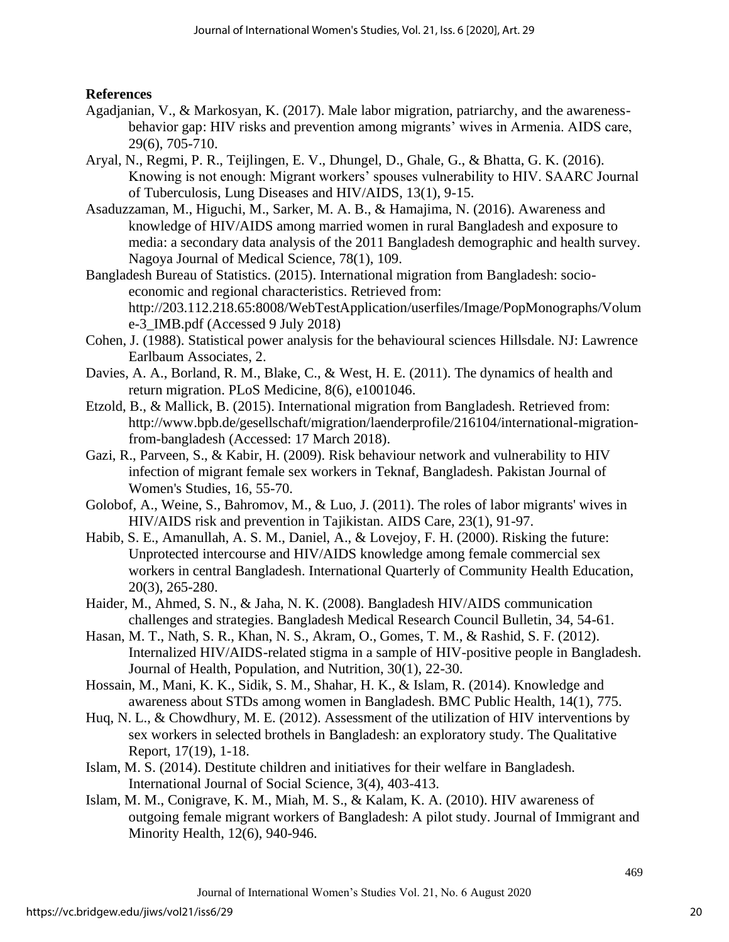# **References**

- Agadjanian, V., & Markosyan, K. (2017). Male labor migration, patriarchy, and the awarenessbehavior gap: HIV risks and prevention among migrants' wives in Armenia. AIDS care, 29(6), 705-710.
- Aryal, N., Regmi, P. R., Teijlingen, E. V., Dhungel, D., Ghale, G., & Bhatta, G. K. (2016). Knowing is not enough: Migrant workers' spouses vulnerability to HIV. SAARC Journal of Tuberculosis, Lung Diseases and HIV/AIDS, 13(1), 9-15.
- Asaduzzaman, M., Higuchi, M., Sarker, M. A. B., & Hamajima, N. (2016). Awareness and knowledge of HIV/AIDS among married women in rural Bangladesh and exposure to media: a secondary data analysis of the 2011 Bangladesh demographic and health survey. Nagoya Journal of Medical Science, 78(1), 109.
- Bangladesh Bureau of Statistics. (2015). International migration from Bangladesh: socioeconomic and regional characteristics. Retrieved from: http://203.112.218.65:8008/WebTestApplication/userfiles/Image/PopMonographs/Volum e-3\_IMB.pdf (Accessed 9 July 2018)
- Cohen, J. (1988). Statistical power analysis for the behavioural sciences Hillsdale. NJ: Lawrence Earlbaum Associates, 2.
- Davies, A. A., Borland, R. M., Blake, C., & West, H. E. (2011). The dynamics of health and return migration. PLoS Medicine, 8(6), e1001046.
- Etzold, B., & Mallick, B. (2015). International migration from Bangladesh. Retrieved from: http://www.bpb.de/gesellschaft/migration/laenderprofile/216104/international-migrationfrom-bangladesh (Accessed: 17 March 2018).
- Gazi, R., Parveen, S., & Kabir, H. (2009). Risk behaviour network and vulnerability to HIV infection of migrant female sex workers in Teknaf, Bangladesh. Pakistan Journal of Women's Studies, 16, 55-70.
- Golobof, A., Weine, S., Bahromov, M., & Luo, J. (2011). The roles of labor migrants' wives in HIV/AIDS risk and prevention in Tajikistan. AIDS Care, 23(1), 91-97.
- Habib, S. E., Amanullah, A. S. M., Daniel, A., & Lovejoy, F. H. (2000). Risking the future: Unprotected intercourse and HIV/AIDS knowledge among female commercial sex workers in central Bangladesh. International Quarterly of Community Health Education, 20(3), 265-280.
- Haider, M., Ahmed, S. N., & Jaha, N. K. (2008). Bangladesh HIV/AIDS communication challenges and strategies. Bangladesh Medical Research Council Bulletin, 34, 54-61.
- Hasan, M. T., Nath, S. R., Khan, N. S., Akram, O., Gomes, T. M., & Rashid, S. F. (2012). Internalized HIV/AIDS-related stigma in a sample of HIV-positive people in Bangladesh. Journal of Health, Population, and Nutrition, 30(1), 22-30.
- Hossain, M., Mani, K. K., Sidik, S. M., Shahar, H. K., & Islam, R. (2014). Knowledge and awareness about STDs among women in Bangladesh. BMC Public Health, 14(1), 775.
- Huq, N. L., & Chowdhury, M. E. (2012). Assessment of the utilization of HIV interventions by sex workers in selected brothels in Bangladesh: an exploratory study. The Qualitative Report, 17(19), 1-18.
- Islam, M. S. (2014). Destitute children and initiatives for their welfare in Bangladesh. International Journal of Social Science, 3(4), 403-413.
- Islam, M. M., Conigrave, K. M., Miah, M. S., & Kalam, K. A. (2010). HIV awareness of outgoing female migrant workers of Bangladesh: A pilot study. Journal of Immigrant and Minority Health, 12(6), 940-946.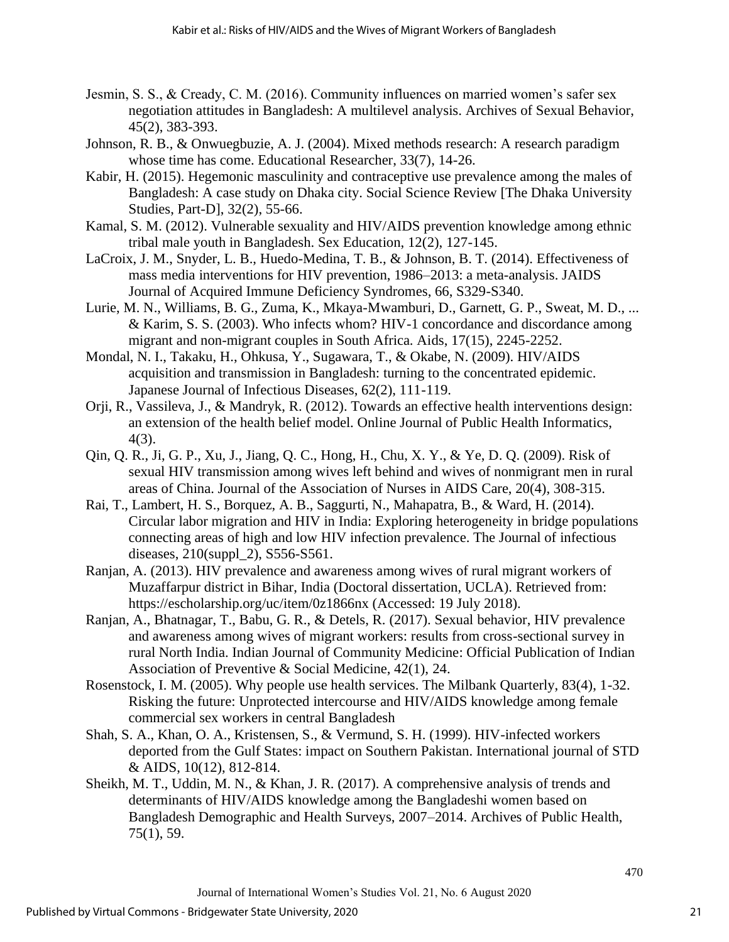- Jesmin, S. S., & Cready, C. M. (2016). Community influences on married women's safer sex negotiation attitudes in Bangladesh: A multilevel analysis. Archives of Sexual Behavior, 45(2), 383-393.
- Johnson, R. B., & Onwuegbuzie, A. J. (2004). Mixed methods research: A research paradigm whose time has come. Educational Researcher, 33(7), 14-26.
- Kabir, H. (2015). Hegemonic masculinity and contraceptive use prevalence among the males of Bangladesh: A case study on Dhaka city. Social Science Review [The Dhaka University Studies, Part-D], 32(2), 55-66.
- Kamal, S. M. (2012). Vulnerable sexuality and HIV/AIDS prevention knowledge among ethnic tribal male youth in Bangladesh. Sex Education, 12(2), 127-145.
- LaCroix, J. M., Snyder, L. B., Huedo-Medina, T. B., & Johnson, B. T. (2014). Effectiveness of mass media interventions for HIV prevention, 1986–2013: a meta-analysis. JAIDS Journal of Acquired Immune Deficiency Syndromes, 66, S329-S340.
- Lurie, M. N., Williams, B. G., Zuma, K., Mkaya-Mwamburi, D., Garnett, G. P., Sweat, M. D., ... & Karim, S. S. (2003). Who infects whom? HIV-1 concordance and discordance among migrant and non-migrant couples in South Africa. Aids, 17(15), 2245-2252.
- Mondal, N. I., Takaku, H., Ohkusa, Y., Sugawara, T., & Okabe, N. (2009). HIV/AIDS acquisition and transmission in Bangladesh: turning to the concentrated epidemic. Japanese Journal of Infectious Diseases, 62(2), 111-119.
- Orji, R., Vassileva, J., & Mandryk, R. (2012). Towards an effective health interventions design: an extension of the health belief model. Online Journal of Public Health Informatics, 4(3).
- Qin, Q. R., Ji, G. P., Xu, J., Jiang, Q. C., Hong, H., Chu, X. Y., & Ye, D. Q. (2009). Risk of sexual HIV transmission among wives left behind and wives of nonmigrant men in rural areas of China. Journal of the Association of Nurses in AIDS Care, 20(4), 308-315.
- Rai, T., Lambert, H. S., Borquez, A. B., Saggurti, N., Mahapatra, B., & Ward, H. (2014). Circular labor migration and HIV in India: Exploring heterogeneity in bridge populations connecting areas of high and low HIV infection prevalence. The Journal of infectious diseases, 210(suppl\_2), S556-S561.
- Ranjan, A. (2013). HIV prevalence and awareness among wives of rural migrant workers of Muzaffarpur district in Bihar, India (Doctoral dissertation, UCLA). Retrieved from: https://escholarship.org/uc/item/0z1866nx (Accessed: 19 July 2018).
- Ranjan, A., Bhatnagar, T., Babu, G. R., & Detels, R. (2017). Sexual behavior, HIV prevalence and awareness among wives of migrant workers: results from cross-sectional survey in rural North India. Indian Journal of Community Medicine: Official Publication of Indian Association of Preventive & Social Medicine, 42(1), 24.
- Rosenstock, I. M. (2005). Why people use health services. The Milbank Quarterly, 83(4), 1-32. Risking the future: Unprotected intercourse and HIV/AIDS knowledge among female commercial sex workers in central Bangladesh
- Shah, S. A., Khan, O. A., Kristensen, S., & Vermund, S. H. (1999). HIV-infected workers deported from the Gulf States: impact on Southern Pakistan. International journal of STD & AIDS, 10(12), 812-814.
- Sheikh, M. T., Uddin, M. N., & Khan, J. R. (2017). A comprehensive analysis of trends and determinants of HIV/AIDS knowledge among the Bangladeshi women based on Bangladesh Demographic and Health Surveys, 2007–2014. Archives of Public Health, 75(1), 59.